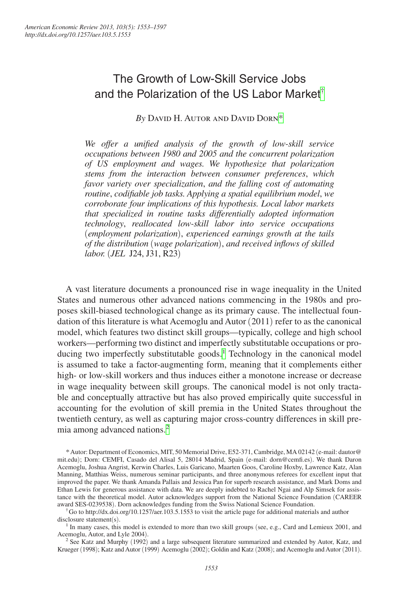# The Growth of Low-Skill Service Jobs and the Polarization of the US Labor Market[†](#page-0-0)

## *By* David H. Autor and David Dor[n\\*](#page-0-1)

*We offer a unified analysis of the growth of low-skill service occupations between 1980 and 2005 and the concurrent polarization of US employment and wages. We hypothesize that polarization stems from the interaction between consumer preferences*, *which favor variety over specialization*, *and the falling cost of automating routine*, *codifiable job tasks. Applying a spatial equilibrium model*, *we corroborate four implications of this hypothesis. Local labor markets that specialized in routine tasks differentially adopted information technology*, *reallocated low-skill labor into service occupations*  (*employment polarization*), *experienced earnings growth at the tails of the distribution* (*wage polarization*), *and received inflows of skilled labor.* (*JEL* J24, J31, R23)

A vast literature documents a pronounced rise in wage inequality in the United States and numerous other advanced nations commencing in the 1980s and proposes skill-biased technological change as its primary cause. The intellectual foundation of this literature is what Acemoglu and Autor (2011) refer to as the canonical model, which features two distinct skill groups—typically, college and high school workers—performing two distinct and imperfectly substitutable occupations or producing two imperfectly substitutable goods.<sup>1</sup> Technology in the canonical model is assumed to take a factor-augmenting form, meaning that it complements either high- or low-skill workers and thus induces either a monotone increase or decrease in wage inequality between skill groups. The canonical model is not only tractable and conceptually attractive but has also proved empirically quite successful in accounting for the evolution of skill premia in the United States throughout the twentieth century, as well as capturing major cross-country differences in skill pre-mia among advanced nations.<sup>[2](#page-0-3)</sup>

<span id="page-0-3"></span> $2$  See Katz and Murphy (1992) and a large subsequent literature summarized and extended by Autor, Katz, and Krueger (1998); Katz and Autor (1999) Acemoglu (2002); Goldin and Katz (2008); and Acemoglu and Autor (2011).

<span id="page-0-1"></span><sup>\*</sup>Autor: Department of Economics, MIT, 50 Memorial Drive, E52-371, Cambridge, MA 02142 (e-mail: [dautor@](mailto:dautor@mit.edu) [mit.edu](mailto:dautor@mit.edu)); Dorn: CEMFI, Casado del Alisal 5, 28014 Madrid, Spain (e-mail: [dorn@cemfi.es](mailto:dorn@cemfi.es)). We thank Daron Acemoglu, Joshua Angrist, Kerwin Charles, Luis Garicano, Maarten Goos, Caroline Hoxby, Lawrence Katz, Alan Manning, Matthias Weiss, numerous seminar participants, and three anonymous referees for excellent input that improved the paper. We thank Amanda Pallais and Jessica Pan for superb research assistance, and Mark Doms and Ethan Lewis for generous assistance with data. We are deeply indebted to Rachel Ngai and Alp Simsek for assistance with the theoretical model. Autor acknowledges support from the National Science Foundation (CAREER award SES-0239538). Dorn acknowledges funding from the Swiss National Science Foundation.

<span id="page-0-0"></span> $\text{F}$ Go to <http://dx.doi.org/10.1257/aer.103.5.1553>to visit the article page for additional materials and author disclosure statement(s).

<span id="page-0-2"></span><sup>&</sup>lt;sup>1</sup> In many cases, this model is extended to more than two skill groups (see, e.g., Card and Lemieux 2001, and Acemoglu, Autor, and Lyle 2004).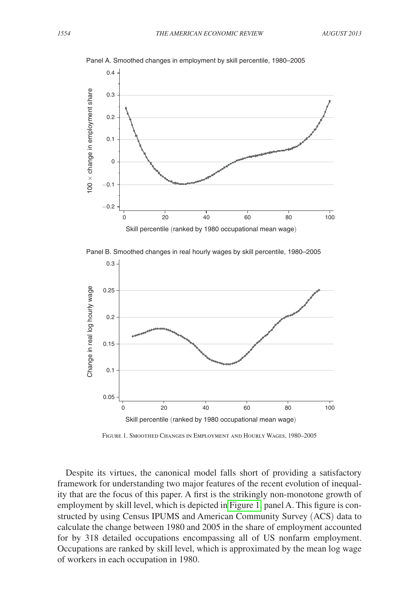

Panel A. Smoothed changes in employment by skill percentile, 1980–2005





Figure 1. Smoothed Changes in Employment and Hourly Wages, 1980–2005

Despite its virtues, the canonical model falls short of providing a satisfactory framework for understanding two major features of the recent evolution of inequality that are the focus of this paper. A first is the strikingly non-monotone growth of employment by skill level, which is depicted in Figure 1, panel A. This figure is constructed by using Census IPUMS and American Community Survey (ACS) data to calculate the change between 1980 and 2005 in the share of employment accounted for by 318 detailed occupations encompassing all of US nonfarm employment. Occupations are ranked by skill level, which is approximated by the mean log wage of workers in each occupation in 1980.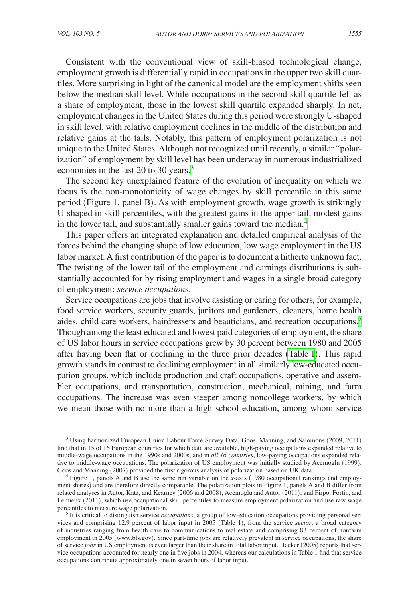Consistent with the conventional view of skill-biased technological change, employment growth is differentially rapid in occupations in the upper two skill quartiles. More surprising in light of the canonical model are the employment shifts seen below the median skill level. While occupations in the second skill quartile fell as a share of employment, those in the lowest skill quartile expanded sharply. In net, employment changes in the United States during this period were strongly U-shaped in skill level, with relative employment declines in the middle of the distribution and relative gains at the tails. Notably, this pattern of employment polarization is not unique to the United States. Although not recognized until recently, a similar "polarization" of employment by skill level has been underway in numerous industrialized economies in the last 20 to 30 years.<sup>3</sup>

The second key unexplained feature of the evolution of inequality on which we focus is the non-monotonicity of wage changes by skill percentile in this same period (Figure 1, panel B). As with employment growth, wage growth is strikingly U-shaped in skill percentiles, with the greatest gains in the upper tail, modest gains in the lower tail, and substantially smaller gains toward the median.<sup>[4](#page-2-1)</sup>

This paper offers an integrated explanation and detailed empirical analysis of the forces behind the changing shape of low education, low wage employment in the US labor market. A first contribution of the paper is to document a hitherto unknown fact. The twisting of the lower tail of the employment and earnings distributions is substantially accounted for by rising employment and wages in a single broad category of employment: *service occupation*s.

Service occupations are jobs that involve assisting or caring for others, for example, food service workers, security guards, janitors and gardeners, cleaners, home health aides, child care workers, hairdressers and beauticians, and recreation occupations.[5](#page-2-2) Though among the least educated and lowest paid categories of employment, the share of US labor hours in service occupations grew by 30 percent between 1980 and 2005 after having been flat or declining in the three prior decades ([Table](#page-3-0) 1). This rapid growth stands in contrast to declining employment in all similarly low-educated occupation groups, which include production and craft occupations, operative and assembler occupations, and transportation, construction, mechanical, mining, and farm occupations. The increase was even steeper among noncollege workers, by which we mean those with no more than a high school education, among whom service

<span id="page-2-0"></span>3 Using harmonized European Union Labour Force Survey Data, Goos, Manning, and Salomons (2009, 2011) find that in 15 of 16 European countries for which data are available, high-paying occupations expanded relative to middle-wage occupations in the 1990s and 2000s, and in *all 16 countries*, low-paying occupations expanded relative to middle-wage occupations. The polarization of US employment was initially studied by Acemoglu (1999). Goos and Manning (2007) provided the first rigorous analysis of polarization based on UK data.

<span id="page-2-1"></span><sup>4</sup> Figure 1, panels A and B use the same run variable on the *x*-axis (1980 occupational rankings and employment shares) and are therefore directly comparable. The polarization plots in Figure 1, panels A and B differ from related analyses in Autor, Katz, and Kearney (2006 and 2008); Acemoglu and Autor (2011); and Firpo, Fortin, and Lemieux (2011), which use occupational skill percentiles to measure employment polarization and use raw wage percentiles to measure wage polarization.

<span id="page-2-2"></span> $5$  It is critical to distinguish service *occupations*, a group of low-education occupations providing personal services and comprising 12.9 percent of labor input in 2005 (Table 1), from the service *sector*, a broad category of industries ranging from health care to communications to real estate and comprising 83 percent of nonfarm employment in 2005 (<www.bls.gov>). Since part-time jobs are relatively prevalent in service occupations, the share of service *jobs* in US employment is even larger than their share in total labor input. Hecker (2005) reports that service occupations accounted for nearly one in five jobs in 2004, whereas our calculations in Table 1 find that service occupations contribute approximately one in seven hours of labor input.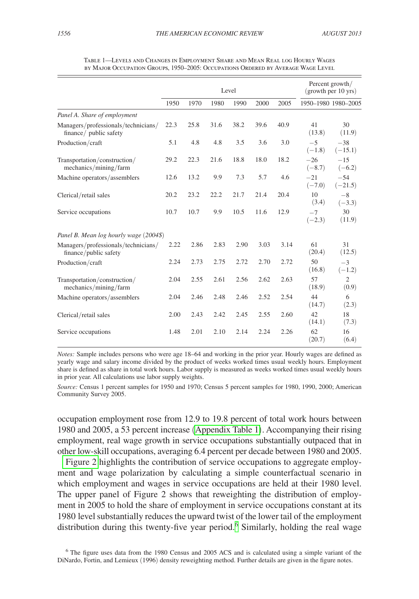<span id="page-3-0"></span>

|                                                               |      |      | Percent growth/<br>(growth per 10 yrs) |      |      |      |                   |                         |
|---------------------------------------------------------------|------|------|----------------------------------------|------|------|------|-------------------|-------------------------|
|                                                               | 1950 | 1970 | 1980                                   | 1990 | 2000 | 2005 |                   | 1950-1980 1980-2005     |
| Panel A. Share of employment                                  |      |      |                                        |      |      |      |                   |                         |
| Managers/professionals/technicians/<br>finance/ public safety | 22.3 | 25.8 | 31.6                                   | 38.2 | 39.6 | 40.9 | 41<br>(13.8)      | 30<br>(11.9)            |
| Production/craft                                              | 5.1  | 4.8  | 4.8                                    | 3.5  | 3.6  | 3.0  | $-5$<br>$(-1.8)$  | $-38$<br>$(-15.1)$      |
| Transportation/construction/<br>mechanics/mining/farm         | 29.2 | 22.3 | 21.6                                   | 18.8 | 18.0 | 18.2 | $-26$<br>$(-8.7)$ | $-15$<br>$(-6.2)$       |
| Machine operators/assemblers                                  | 12.6 | 13.2 | 9.9                                    | 7.3  | 5.7  | 4.6  | $-21$<br>$(-7.0)$ | $-54$<br>$(-21.5)$      |
| Clerical/retail sales                                         | 20.2 | 23.2 | 22.2                                   | 21.7 | 21.4 | 20.4 | 10<br>(3.4)       | $-8$<br>$(-3.3)$        |
| Service occupations                                           | 10.7 | 10.7 | 9.9                                    | 10.5 | 11.6 | 12.9 | $-7$<br>$(-2.3)$  | 30<br>(11.9)            |
| Panel B. Mean log hourly wage (2004\$)                        |      |      |                                        |      |      |      |                   |                         |
| Managers/professionals/technicians/<br>finance/public safety  | 2.22 | 2.86 | 2.83                                   | 2.90 | 3.03 | 3.14 | 61<br>(20.4)      | 31<br>(12.5)            |
| Production/craft                                              | 2.24 | 2.73 | 2.75                                   | 2.72 | 2.70 | 2.72 | 50<br>(16.8)      | $-3$<br>$(-1.2)$        |
| Transportation/construction/<br>mechanics/mining/farm         | 2.04 | 2.55 | 2.61                                   | 2.56 | 2.62 | 2.63 | 57<br>(18.9)      | $\overline{2}$<br>(0.9) |
| Machine operators/assemblers                                  | 2.04 | 2.46 | 2.48                                   | 2.46 | 2.52 | 2.54 | 44<br>(14.7)      | 6<br>(2.3)              |
| Clerical/retail sales                                         | 2.00 | 2.43 | 2.42                                   | 2.45 | 2.55 | 2.60 | 42<br>(14.1)      | 18<br>(7.3)             |
| Service occupations                                           | 1.48 | 2.01 | 2.10                                   | 2.14 | 2.24 | 2.26 | 62<br>(20.7)      | 16<br>(6.4)             |

Table 1—Levels and Changes in Employment Share and Mean Real log Hourly Wages by Major Occupation Groups, 1950–2005: Occupations Ordered by Average Wage Level

*Notes:* Sample includes persons who were age 18–64 and working in the prior year. Hourly wages are defined as yearly wage and salary income divided by the product of weeks worked times usual weekly hours. Employment share is defined as share in total work hours. Labor supply is measured as weeks worked times usual weekly hours in prior year. All calculations use labor supply weights.

*Source:* Census 1 percent samples for 1950 and 1970; Census 5 percent samples for 1980, 1990, 2000; American Community Survey 2005.

occupation employment rose from 12.9 to 19.8 percent of total work hours between 1980 and 2005, a 53 percent increase ([Appendix Table 1](#page-39-0)). Accompanying their rising employment, real wage growth in service occupations substantially outpaced that in other low-skill occupations, averaging 6.4 percent per decade between 1980 and 2005.

[Figure 2](#page-4-0) highlights the contribution of service occupations to aggregate employment and wage polarization by calculating a simple counterfactual scenario in which employment and wages in service occupations are held at their 1980 level. The upper panel of Figure 2 shows that reweighting the distribution of employment in 2005 to hold the share of employment in service occupations constant at its 1980 level substantially reduces the upward twist of the lower tail of the employment distribution during this twenty-five year period.<sup>[6](#page-3-1)</sup> Similarly, holding the real wage

<span id="page-3-1"></span>6 The figure uses data from the 1980 Census and 2005 ACS and is calculated using a simple variant of the DiNardo, Fortin, and Lemieux (1996) density reweighting method. Further details are given in the figure notes.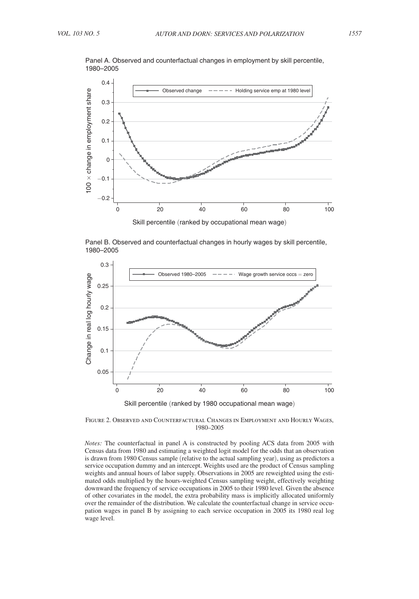

<span id="page-4-0"></span>Panel A. Observed and counterfactual changes in employment by skill percentile, 1980–2005

Panel B. Observed and counterfactual changes in hourly wages by skill percentile, 1980–2005



Figure 2. Observed and Counterfactural Changes in Employment and Hourly Wages, 1980–2005

*Notes:* The counterfactual in panel A is constructed by pooling ACS data from 2005 with Census data from 1980 and estimating a weighted logit model for the odds that an observation is drawn from 1980 Census sample (relative to the actual sampling year), using as predictors a service occupation dummy and an intercept. Weights used are the product of Census sampling weights and annual hours of labor supply. Observations in 2005 are reweighted using the estimated odds multiplied by the hours-weighted Census sampling weight, effectively weighting downward the frequency of service occupations in 2005 to their 1980 level. Given the absence of other covariates in the model, the extra probability mass is implicitly allocated uniformly over the remainder of the distribution. We calculate the counterfactual change in service occupation wages in panel B by assigning to each service occupation in 2005 its 1980 real log wage level.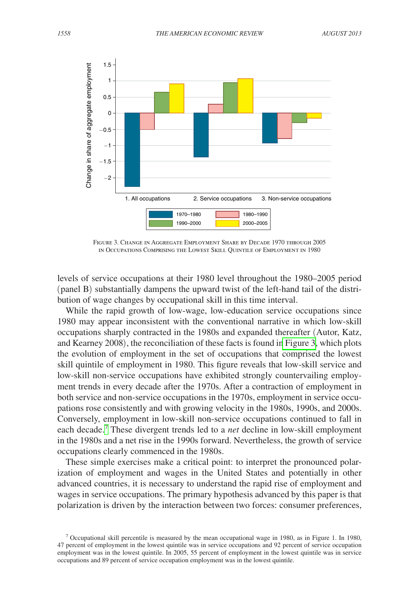

Figure 3. Change in Aggregate Employment Share by Decade 1970 through 2005 in Occupations Comprising the Lowest Skill Quintile of Employment in 1980

levels of service occupations at their 1980 level throughout the 1980–2005 period (panel B) substantially dampens the upward twist of the left-hand tail of the distribution of wage changes by occupational skill in this time interval.

While the rapid growth of low-wage, low-education service occupations since 1980 may appear inconsistent with the conventional narrative in which low-skill occupations sharply contracted in the 1980s and expanded thereafter (Autor, Katz, and Kearney 2008), the reconciliation of these facts is found in Figure 3, which plots the evolution of employment in the set of occupations that comprised the lowest skill quintile of employment in 1980. This figure reveals that low-skill service and low-skill non-service occupations have exhibited strongly countervailing employment trends in every decade after the 1970s. After a contraction of employment in both service and non-service occupations in the 1970s, employment in service occupations rose consistently and with growing velocity in the 1980s, 1990s, and 2000s. Conversely, employment in low-skill non-service occupations continued to fall in each decade.[7](#page-5-0) These divergent trends led to a *net* decline in low-skill employment in the 1980s and a net rise in the 1990s forward. Nevertheless, the growth of service occupations clearly commenced in the 1980s.

These simple exercises make a critical point: to interpret the pronounced polarization of employment and wages in the United States and potentially in other advanced countries, it is necessary to understand the rapid rise of employment and wages in service occupations. The primary hypothesis advanced by this paper is that polarization is driven by the interaction between two forces: consumer preferences,

<span id="page-5-0"></span> $7$  Occupational skill percentile is measured by the mean occupational wage in 1980, as in Figure 1. In 1980, 47 percent of employment in the lowest quintile was in service occupations and 92 percent of service occupation employment was in the lowest quintile. In 2005, 55 percent of employment in the lowest quintile was in service occupations and 89 percent of service occupation employment was in the lowest quintile.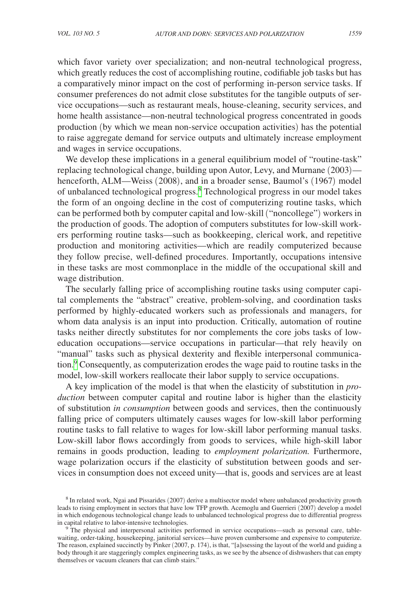which favor variety over specialization; and non-neutral technological progress, which greatly reduces the cost of accomplishing routine, codifiable job tasks but has a comparatively minor impact on the cost of performing in-person service tasks. If consumer preferences do not admit close substitutes for the tangible outputs of service occupations—such as restaurant meals, house-cleaning, security services, and home health assistance—non-neutral technological progress concentrated in goods production (by which we mean non-service occupation activities) has the potential to raise aggregate demand for service outputs and ultimately increase employment and wages in service occupations.

We develop these implications in a general equilibrium model of "routine-task" replacing technological change, building upon Autor, Levy, and Murnane (2003) henceforth, ALM—Weiss (2008), and in a broader sense, Baumol's (1967) model of unbalanced technological progress.[8](#page-6-0) Technological progress in our model takes the form of an ongoing decline in the cost of computerizing routine tasks, which can be performed both by computer capital and low-skill ("noncollege") workers in the production of goods. The adoption of computers substitutes for low-skill workers performing routine tasks—such as bookkeeping, clerical work, and repetitive production and monitoring activities—which are readily computerized because they follow precise, well-defined procedures. Importantly, occupations intensive in these tasks are most commonplace in the middle of the occupational skill and wage distribution.

The secularly falling price of accomplishing routine tasks using computer capital complements the "abstract" creative, problem-solving, and coordination tasks performed by highly-educated workers such as professionals and managers, for whom data analysis is an input into production. Critically, automation of routine tasks neither directly substitutes for nor complements the core jobs tasks of loweducation occupations—service occupations in particular—that rely heavily on "manual" tasks such as physical dexterity and flexible interpersonal communication.[9](#page-6-1) Consequently, as computerization erodes the wage paid to routine tasks in the model, low-skill workers reallocate their labor supply to service occupations.

A key implication of the model is that when the elasticity of substitution in *production* between computer capital and routine labor is higher than the elasticity of substitution *in consumption* between goods and services, then the continuously falling price of computers ultimately causes wages for low-skill labor performing routine tasks to fall relative to wages for low-skill labor performing manual tasks. Low-skill labor flows accordingly from goods to services, while high-skill labor remains in goods production, leading to *employment polarization.* Furthermore, wage polarization occurs if the elasticity of substitution between goods and services in consumption does not exceed unity—that is, goods and services are at least

<span id="page-6-0"></span><sup>8</sup> In related work, Ngai and Pissarides (2007) derive a multisector model where unbalanced productivity growth leads to rising employment in sectors that have low TFP growth. Acemoglu and Guerrieri (2007) develop a model in which endogenous technological change leads to unbalanced technological progress due to differential progress in capital relative to labor-intensive technologies.<br><sup>9</sup> The physical and interpersonal activities performed in service occupations—such as personal care, table-

<span id="page-6-1"></span>waiting, order-taking, housekeeping, janitorial services—have proven cumbersome and expensive to computerize. The reason, explained succinctly by Pinker (2007, p. 174), is that, "[a]ssessing the layout of the world and guiding a body through it are staggeringly complex engineering tasks, as we see by the absence of dishwashers that can empty themselves or vacuum cleaners that can climb stairs."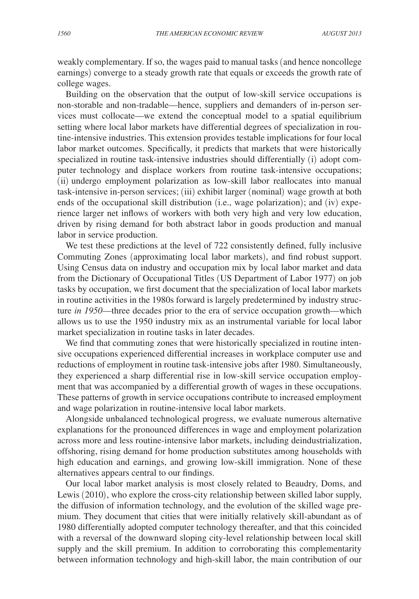weakly complementary. If so, the wages paid to manual tasks (and hence noncollege earnings) converge to a steady growth rate that equals or exceeds the growth rate of college wages.

Building on the observation that the output of low-skill service occupations is non-storable and non-tradable—hence, suppliers and demanders of in-person services must collocate—we extend the conceptual model to a spatial equilibrium setting where local labor markets have differential degrees of specialization in routine-intensive industries. This extension provides testable implications for four local labor market outcomes. Specifically, it predicts that markets that were historically specialized in routine task-intensive industries should differentially (i) adopt computer technology and displace workers from routine task-intensive occupations; (ii) undergo employment polarization as low-skill labor reallocates into manual task-intensive in-person services; (iii) exhibit larger (nominal) wage growth at both ends of the occupational skill distribution (i.e., wage polarization); and (iv) experience larger net inflows of workers with both very high and very low education, driven by rising demand for both abstract labor in goods production and manual labor in service production.

We test these predictions at the level of 722 consistently defined, fully inclusive Commuting Zones (approximating local labor markets), and find robust support. Using Census data on industry and occupation mix by local labor market and data from the Dictionary of Occupational Titles (US Department of Labor 1977) on job tasks by occupation, we first document that the specialization of local labor markets in routine activities in the 1980s forward is largely predetermined by industry structure *in 1950*—three decades prior to the era of service occupation growth—which allows us to use the 1950 industry mix as an instrumental variable for local labor market specialization in routine tasks in later decades.

We find that commuting zones that were historically specialized in routine intensive occupations experienced differential increases in workplace computer use and reductions of employment in routine task-intensive jobs after 1980. Simultaneously, they experienced a sharp differential rise in low-skill service occupation employment that was accompanied by a differential growth of wages in these occupations. These patterns of growth in service occupations contribute to increased employment and wage polarization in routine-intensive local labor markets.

Alongside unbalanced technological progress, we evaluate numerous alternative explanations for the pronounced differences in wage and employment polarization across more and less routine-intensive labor markets, including deindustrialization, offshoring, rising demand for home production substitutes among households with high education and earnings, and growing low-skill immigration. None of these alternatives appears central to our findings.

Our local labor market analysis is most closely related to Beaudry, Doms, and Lewis (2010), who explore the cross-city relationship between skilled labor supply, the diffusion of information technology, and the evolution of the skilled wage premium. They document that cities that were initially relatively skill-abundant as of 1980 differentially adopted computer technology thereafter, and that this coincided with a reversal of the downward sloping city-level relationship between local skill supply and the skill premium. In addition to corroborating this complementarity between information technology and high-skill labor, the main contribution of our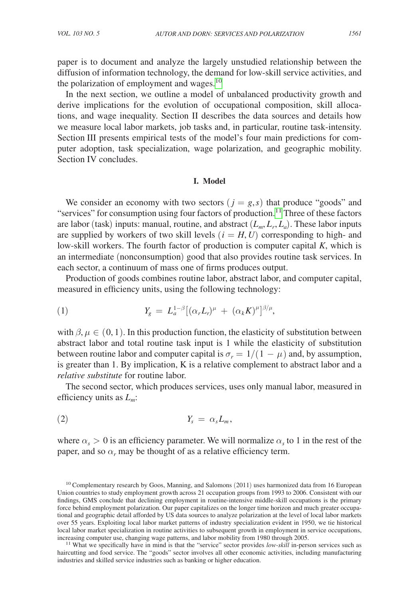paper is to document and analyze the largely unstudied relationship between the diffusion of information technology, the demand for low-skill service activities, and the polarization of employment and wages.<sup>[10](#page-8-0)</sup>

In the next section, we outline a model of unbalanced productivity growth and derive implications for the evolution of occupational composition, skill allocations, and wage inequality. Section II describes the data sources and details how we measure local labor markets, job tasks and, in particular, routine task-intensity. Section III presents empirical tests of the model's four main predictions for computer adoption, task specialization, wage polarization, and geographic mobility. Section IV concludes.

## **I. Model**

We consider an economy with two sectors  $(j = g, s)$  that produce "goods" and "services" for consumption using four factors of production.<sup>[11](#page-8-1)</sup> Three of these factors are labor (task) inputs: manual, routine, and abstract  $(L_m, L_r, L_a)$ . These labor inputs are supplied by workers of two skill levels  $(i = H, U)$  corresponding to high- and low-skill workers. The fourth factor of production is computer capital *K*, which is an intermediate (nonconsumption) good that also provides routine task services. In each sector, a continuum of mass one of firms produces output.

Production of goods combines routine labor, abstract labor, and computer capital, measured in efficiency units, using the following technology:

(1) 
$$
Y_g = L_a^{1-\beta} [(\alpha_r L_r)^{\mu} + (\alpha_k K)^{\mu}]^{\beta/\mu},
$$

with  $\beta, \mu \in (0, 1)$ . In this production function, the elasticity of substitution between abstract labor and total routine task input is 1 while the elasticity of substitution between routine labor and computer capital is  $\sigma_r = 1/(1 - \mu)$  and, by assumption, is greater than 1. By implication, K is a relative complement to abstract labor and a *relative substitute* for routine labor.

The second sector, which produces services, uses only manual labor, measured in efficiency units as *Lm*:

$$
Y_s = \alpha_s L_m,
$$

where  $\alpha_s > 0$  is an efficiency parameter. We will normalize  $\alpha_s$  to 1 in the rest of the paper, and so  $\alpha_r$  may be thought of as a relative efficiency term.

<span id="page-8-0"></span> $10$  Complementary research by Goos, Manning, and Salomons (2011) uses harmonized data from 16 European Union countries to study employment growth across 21 occupation groups from 1993 to 2006. Consistent with our findings, GMS conclude that declining employment in routine-intensive middle-skill occupations is the primary force behind employment polarization. Our paper capitalizes on the longer time horizon and much greater occupational and geographic detail afforded by US data sources to analyze polarization at the level of local labor markets over 55 years. Exploiting local labor market patterns of industry specialization evident in 1950, we tie historical local labor market specialization in routine activities to subsequent growth in employment in service occupations, increasing computer use, changing wage patterns, and labor mobility from 1980 through 2005.

<span id="page-8-1"></span><sup>&</sup>lt;sup>11</sup> What we specifically have in mind is that the "service" sector provides *low-skill* in-person services such as haircutting and food service. The "goods" sector involves all other economic activities, including manufacturing industries and skilled service industries such as banking or higher education.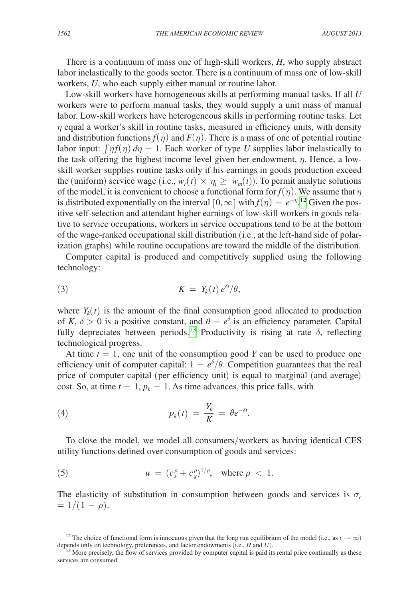There is a continuum of mass one of high-skill workers, *H*, who supply abstract labor inelastically to the goods sector. There is a continuum of mass one of low-skill workers, *U*, who each supply either manual or routine labor.

Low-skill workers have homogeneous skills at performing manual tasks. If all *U*  workers were to perform manual tasks, they would supply a unit mass of manual labor. Low-skill workers have heterogeneous skills in performing routine tasks. Let  $\eta$  equal a worker's skill in routine tasks, measured in efficiency units, with density and distribution functions  $f(\eta)$  and  $F(\eta)$ . There is a mass of one of potential routine labor input:  $\int \eta f(\eta) d\eta = 1$ . Each worker of type *U* supplies labor inelastically to the task offering the highest income level given her endowment,  $\eta$ . Hence, a lowskill worker supplies routine tasks only if his earnings in goods production exceed the (uniform) service wage (i.e.,  $w_r(t) \times \eta_i \geq w_m(t)$ ). To permit analytic solutions of the model, it is convenient to choose a functional form for  $f(\eta)$ . We assume that  $\eta$ is distributed exponentially on the interval  $[0, \infty]$  with  $f(\eta) = e^{-\eta}$ .<sup>12</sup> Given the positive self-selection and attendant higher earnings of low-skill workers in goods relative to service occupations, workers in service occupations tend to be at the bottom of the wage-ranked occupational skill distribution (i.e., at the left-hand side of polarization graphs) while routine occupations are toward the middle of the distribution.

Computer capital is produced and competitively supplied using the following technology:

$$
(3) \t\t\t K = Y_k(t) e^{\delta t}/\theta,
$$

where  $Y_k(t)$  is the amount of the final consumption good allocated to production of *K*,  $\delta > 0$  is a positive constant, and  $\theta = e^{\delta}$  is an efficiency parameter. Capital fully depreciates between periods.<sup>13</sup> Productivity is rising at rate  $\delta$ , reflecting technological progress.

At time  $t = 1$ , one unit of the consumption good Y can be used to produce one efficiency unit of computer capital:  $1 = e^{\delta}/\theta$ . Competition guarantees that the real price of computer capital (per efficiency unit) is equal to marginal (and average) cost. So, at time  $t = 1$ ,  $p_k = 1$ . As time advances, this price falls, with

(4) 
$$
p_k(t) = \frac{Y_k}{K} = \theta e^{-\delta t}.
$$

To close the model, we model all consumers/workers as having identical CES utility functions defined over consumption of goods and services:

(5) 
$$
u = (c_s^{\rho} + c_g^{\rho})^{1/\rho}, \text{ where } \rho < 1.
$$

The elasticity of substitution in consumption between goods and services is  $\sigma_c$  $= 1/(1 - \rho).$ 

<span id="page-9-0"></span><sup>&</sup>lt;sup>12</sup> The choice of functional form is innocuous given that the long run equilibrium of the model (i.e., as *t* → ∞) depends only on technology, preferences, and factor endowments (i.e., *H* and *U*).

<span id="page-9-1"></span><sup>&</sup>lt;sup>13</sup> More precisely, the flow of services provided by computer capital is paid its rental price continually as these services are consumed.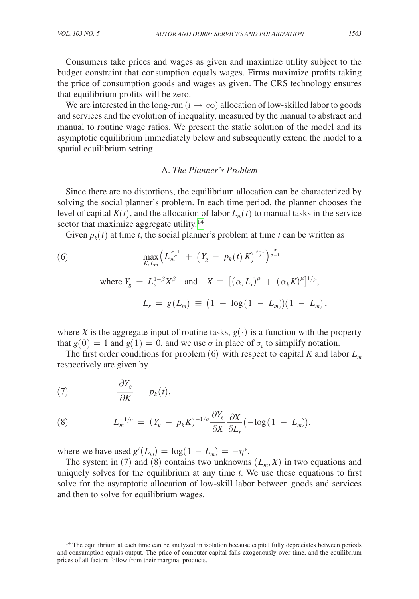Consumers take prices and wages as given and maximize utility subject to the budget constraint that consumption equals wages. Firms maximize profits taking the price of consumption goods and wages as given. The CRS technology ensures that equilibrium profits will be zero.

We are interested in the long-run ( $t \rightarrow \infty$ ) allocation of low-skilled labor to goods and services and the evolution of inequality, measured by the manual to abstract and manual to routine wage ratios. We present the static solution of the model and its asymptotic equilibrium immediately below and subsequently extend the model to a spatial equilibrium setting.

## A. *The Planner's Problem*

Since there are no distortions, the equilibrium allocation can be characterized by solving the social planner's problem. In each time period, the planner chooses the level of capital  $K(t)$ , and the allocation of labor  $L_m(t)$  to manual tasks in the service sector that maximize aggregate utility.<sup>14</sup>

Given  $p_k(t)$  at time *t*, the social planner's problem at time *t* can be written as

(6) 
$$
\max_{K, L_m} \left( L_m^{\frac{\sigma - 1}{\sigma}} + (Y_g - p_k(t) K)^{\frac{\sigma - 1}{\sigma}} \right)^{\frac{\sigma}{\sigma - 1}}
$$
  
where  $Y_g = L_a^{1-\beta} X^{\beta}$  and  $X \equiv [(\alpha_r L_r)^{\mu} + (\alpha_k K)^{\mu}]^{1/\mu}$ ,  
 $L_r = g(L_m) \equiv (1 - \log(1 - L_m))(1 - L_m)$ ,

where *X* is the aggregate input of routine tasks,  $g(.)$  is a function with the property that  $g(0) = 1$  and  $g(1) = 0$ , and we use  $\sigma$  in place of  $\sigma_c$  to simplify notation.

The first order conditions for problem (6) with respect to capital *K* and labor  $L_m$ respectively are given by

(7) 
$$
\frac{\partial Y_g}{\partial K} = p_k(t),
$$

(8) 
$$
L_m^{-1/\sigma} = (Y_g - p_k K)^{-1/\sigma} \frac{\partial Y_g}{\partial X} \frac{\partial X}{\partial L_r} (-\log(1 - L_m)),
$$

where we have used  $g'(L_m) = \log(1 - L_m) = -\eta^*$ .

The system in (7) and (8) contains two unknowns  $(L_m, X)$  in two equations and uniquely solves for the equilibrium at any time *t*. We use these equations to first solve for the asymptotic allocation of low-skill labor between goods and services and then to solve for equilibrium wages.

<span id="page-10-0"></span><sup>&</sup>lt;sup>14</sup> The equilibrium at each time can be analyzed in isolation because capital fully depreciates between periods and consumption equals output. The price of computer capital falls exogenously over time, and the equilibrium prices of all factors follow from their marginal products.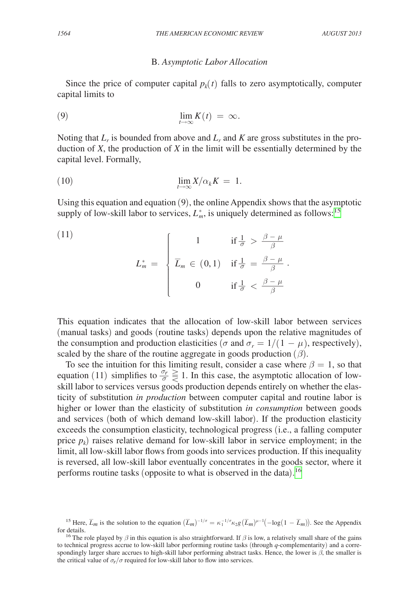#### B. *Asymptotic Labor Allocation*

Since the price of computer capital  $p_k(t)$  falls to zero asymptotically, computer capital limits to

$$
\lim_{t \to \infty} K(t) = \infty.
$$

Noting that *Lr* is bounded from above and *Lr* and *K* are gross substitutes in the production of *X*, the production of *X* in the limit will be essentially determined by the capital level. Formally,

$$
\lim_{t \to \infty} X/\alpha_k K = 1.
$$

Using this equation and equation (9), the online Appendix shows that the asymptotic supply of low-skill labor to services,  $L_m^*$ , is uniquely determined as follows:<sup>[15](#page-11-0)</sup>

(11)  
\n
$$
L_m^* = \begin{cases}\n1 & \text{if } \frac{1}{\sigma} > \frac{\beta - \mu}{\beta} \\
\overline{L}_m \in (0, 1) & \text{if } \frac{1}{\sigma} = \frac{\beta - \mu}{\beta} \\
0 & \text{if } \frac{1}{\sigma} < \frac{\beta - \mu}{\beta}\n\end{cases}
$$

This equation indicates that the allocation of low-skill labor between services (manual tasks) and goods (routine tasks) depends upon the relative magnitudes of the consumption and production elasticities ( $\sigma$  and  $\sigma_r = 1/(1 - \mu)$ , respectively), scaled by the share of the routine aggregate in goods production  $(\beta)$ .

To see the intuition for this limiting result, consider a case where  $\beta = 1$ , so that **Example 11** simplifies to  $\frac{\sigma_r}{\sigma} \geq 1$ . In this case, the asymptotic allocation of lowskill labor to services versus goods production depends entirely on whether the elasticity of substitution *in production* between computer capital and routine labor is higher or lower than the elasticity of substitution *in consumption* between goods and services (both of which demand low-skill labor). If the production elasticity exceeds the consumption elasticity, technological progress (i.e., a falling computer price  $p_k$ ) raises relative demand for low-skill labor in service employment; in the limit, all low-skill labor flows from goods into services production. If this inequality is reversed, all low-skill labor eventually concentrates in the goods sector, where it performs routine tasks (opposite to what is observed in the data). [16](#page-11-1)

<span id="page-11-0"></span><sup>&</sup>lt;sup>15</sup> Here,  $\overline{L}_m$  is the solution to the equation  $(\overline{L}_m)^{-1/\sigma} = \kappa_1^{-1/\sigma} \kappa_2 g (\overline{L}_m)^{\mu-1} (-\log(1 - \overline{L}_m))$ . See the Appendix for details.<br><sup>16</sup> The role played by β in this equation is also straightforward. If β is low, a relatively small share of the gains

<span id="page-11-1"></span>to technical progress accrue to low-skill labor performing routine tasks (through *q*-complementarity) and a correspondingly larger share accrues to high-skill labor performing abstract tasks. Hence, the lower is  $\beta$ , the smaller is the critical value of  $\sigma_r/\sigma$  required for low-skill labor to flow into services.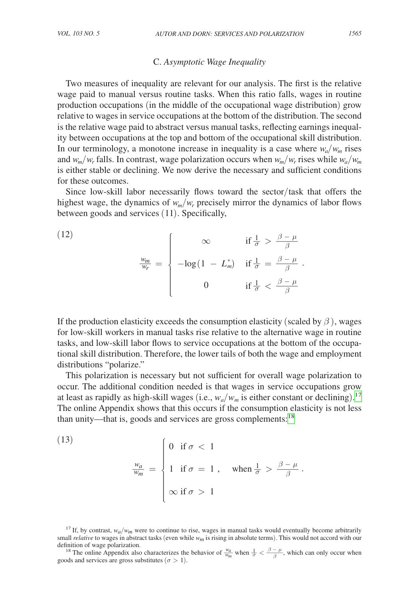# C. *Asymptotic Wage Inequality*

Two measures of inequality are relevant for our analysis. The first is the relative wage paid to manual versus routine tasks. When this ratio falls, wages in routine production occupations (in the middle of the occupational wage distribution) grow relative to wages in service occupations at the bottom of the distribution. The second is the relative wage paid to abstract versus manual tasks, reflecting earnings inequality between occupations at the top and bottom of the occupational skill distribution. In our terminology, a monotone increase in inequality is a case where  $w_a/w_m$  rises and  $w_m/w_r$  falls. In contrast, wage polarization occurs when  $w_m/w_r$  rises while  $w_a/w_m$ is either stable or declining. We now derive the necessary and sufficient conditions for these outcomes.

Since low-skill labor necessarily flows toward the sector/task that offers the highest wage, the dynamics of  $w_m/w_r$  precisely mirror the dynamics of labor flows between goods and services (11). Specifically,

(12)  
\n
$$
\frac{w_m}{w_r} = \begin{cases}\n\infty & \text{if } \frac{1}{\sigma} > \frac{\beta - \mu}{\beta} \\
-\log(1 - L_m^*) & \text{if } \frac{1}{\sigma} = \frac{\beta - \mu}{\beta} \\
0 & \text{if } \frac{1}{\sigma} < \frac{\beta - \mu}{\beta}\n\end{cases}
$$

If the production elasticity exceeds the consumption elasticity (scaled by  $\beta$ ), wages for low-skill workers in manual tasks rise relative to the alternative wage in routine tasks, and low-skill labor flows to service occupations at the bottom of the occupational skill distribution. Therefore, the lower tails of both the wage and employment distributions "polarize."

This polarization is necessary but not sufficient for overall wage polarization to occur. The additional condition needed is that wages in service occupations grow at least as rapidly as high-skill wages (i.e.,  $w_a/w_m$  is either constant or declining).<sup>[17](#page-12-0)</sup> The online Appendix shows that this occurs if the consumption elasticity is not less than unity—that is, goods and services are gross complements:<sup>[18](#page-12-1)</sup>

(13)  
\n
$$
\frac{w_a}{w_m} = \begin{cases}\n0 & \text{if } \sigma < 1 \\
1 & \text{if } \sigma = 1, \quad \text{when } \frac{1}{\sigma} > \frac{\beta - \mu}{\beta} \\
\infty & \text{if } \sigma > 1\n\end{cases}
$$

<span id="page-12-0"></span><sup>17</sup> If, by contrast,  $w_a/w_m$  were to continue to rise, wages in manual tasks would eventually become arbitrarily small *relative* to wages in abstract tasks (even while  $w_m$  is rising in absolute terms). This would not accord with our definition of wage polarization.

<span id="page-12-1"></span>small *relative* to wages in abstract tasks (even while  $w_m$  is rising in absolute terms). This would not accord with our definition of wage polarization.<br><sup>18</sup> The online Appendix also characterizes the behavior of  $\frac{w_a$ goods and services are gross substitutes ( $\sigma > 1$ ).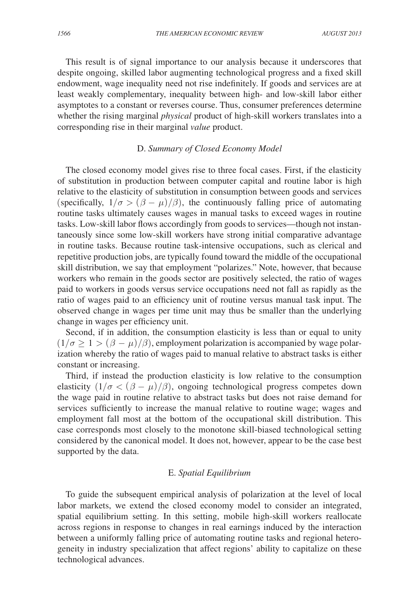This result is of signal importance to our analysis because it underscores that despite ongoing, skilled labor augmenting technological progress and a fixed skill endowment, wage inequality need not rise indefinitely. If goods and services are at least weakly complementary, inequality between high- and low-skill labor either asymptotes to a constant or reverses course. Thus, consumer preferences determine whether the rising marginal *physical* product of high-skill workers translates into a corresponding rise in their marginal *value* product.

## D. *Summary of Closed Economy Model*

The closed economy model gives rise to three focal cases. First, if the elasticity of substitution in production between computer capital and routine labor is high relative to the elasticity of substitution in consumption between goods and services (specifically,  $1/\sigma > (\beta - \mu)/\beta$ ), the continuously falling price of automating routine tasks ultimately causes wages in manual tasks to exceed wages in routine tasks. Low-skill labor flows accordingly from goods to services—though not instantaneously since some low-skill workers have strong initial comparative advantage in routine tasks. Because routine task-intensive occupations, such as clerical and repetitive production jobs, are typically found toward the middle of the occupational skill distribution, we say that employment "polarizes." Note, however, that because workers who remain in the goods sector are positively selected, the ratio of wages paid to workers in goods versus service occupations need not fall as rapidly as the ratio of wages paid to an efficiency unit of routine versus manual task input. The observed change in wages per time unit may thus be smaller than the underlying change in wages per efficiency unit.

Second, if in addition, the consumption elasticity is less than or equal to unity  $(1/\sigma \geq 1 > (\beta - \mu)/\beta)$ , employment polarization is accompanied by wage polarization whereby the ratio of wages paid to manual relative to abstract tasks is either constant or increasing.

Third, if instead the production elasticity is low relative to the consumption elasticity  $(1/\sigma < (\beta - \mu)/\beta)$ , ongoing technological progress competes down the wage paid in routine relative to abstract tasks but does not raise demand for services sufficiently to increase the manual relative to routine wage; wages and employment fall most at the bottom of the occupational skill distribution. This case corresponds most closely to the monotone skill-biased technological setting considered by the canonical model. It does not, however, appear to be the case best supported by the data.

# E. *Spatial Equilibrium*

To guide the subsequent empirical analysis of polarization at the level of local labor markets, we extend the closed economy model to consider an integrated, spatial equilibrium setting. In this setting, mobile high-skill workers reallocate across regions in response to changes in real earnings induced by the interaction between a uniformly falling price of automating routine tasks and regional heterogeneity in industry specialization that affect regions' ability to capitalize on these technological advances.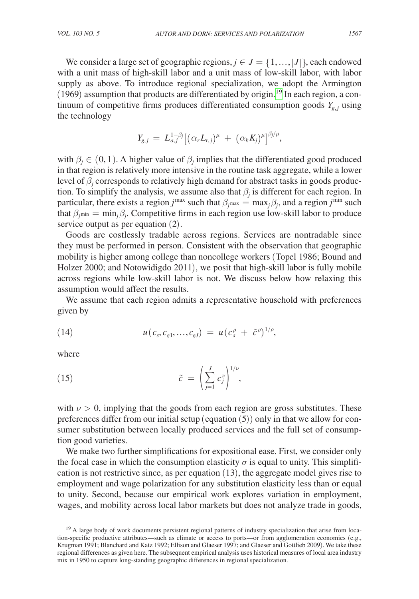We consider a large set of geographic regions,  $j \in J = \{1, ..., |J|\}$ , each endowed with a unit mass of high-skill labor and a unit mass of low-skill labor, with labor supply as above. To introduce regional specialization, we adopt the Armington (1969) assumption that products are differentiated by origin.<sup>19</sup> In each region, a continuum of competitive firms produces differentiated consumption goods  $Y_{g,j}$  using the technology

$$
Y_{g,j} \, = \, L_{a,j}^{1-\beta_j} \big[ \big( \alpha_r L_{r,j} \big)^\mu \; + \; \big( \alpha_k K_j \big)^\mu \big]^{\beta_j/\mu},
$$

with  $\beta_j \in (0, 1)$ . A higher value of  $\beta_j$  implies that the differentiated good produced in that region is relatively more intensive in the routine task aggregate, while a lower level of  $\beta_j$  corresponds to relatively high demand for abstract tasks in goods production. To simplify the analysis, we assume also that  $\beta_j$  is different for each region. In particular, there exists a region  $j^{max}$  such that  $\beta_j^{max} = max_j \beta_j$ , and a region  $j^{min}$  such that  $\beta_j$ <sub>min</sub> = min<sub>*j*</sub> $\beta_j$ . Competitive firms in each region use low-skill labor to produce service output as per equation  $(2)$ .

Goods are costlessly tradable across regions. Services are nontradable since they must be performed in person. Consistent with the observation that geographic mobility is higher among college than noncollege workers (Topel 1986; Bound and Holzer 2000; and Notowidigdo 2011), we posit that high-skill labor is fully mobile across regions while low-skill labor is not. We discuss below how relaxing this assumption would affect the results.

We assume that each region admits a representative household with preferences given by

(14) 
$$
u(c_s, c_{g1},...,c_{gJ}) = u(c_s^{\rho} + \tilde{c}^{\rho})^{1/\rho},
$$

where

(15) 
$$
\tilde{c} = \left(\sum_{j=1}^{J} c_j^{\nu}\right)^{1/\nu},
$$

with  $\nu > 0$ , implying that the goods from each region are gross substitutes. These preferences differ from our initial setup (equation  $(5)$ ) only in that we allow for consumer substitution between locally produced services and the full set of consumption good varieties.

We make two further simplifications for expositional ease. First, we consider only the focal case in which the consumption elasticity  $\sigma$  is equal to unity. This simplification is not restrictive since, as per equation (13), the aggregate model gives rise to employment and wage polarization for any substitution elasticity less than or equal to unity. Second, because our empirical work explores variation in employment, wages, and mobility across local labor markets but does not analyze trade in goods,

<span id="page-14-0"></span><sup>&</sup>lt;sup>19</sup> A large body of work documents persistent regional patterns of industry specialization that arise from location-specific productive attributes—such as climate or access to ports—or from agglomeration economies (e.g., Krugman 1991; Blanchard and Katz 1992; Ellison and Glaeser 1997; and Glaeser and Gottlieb 2009). We take these regional differences as given here. The subsequent empirical analysis uses historical measures of local area industry mix in 1950 to capture long-standing geographic differences in regional specialization.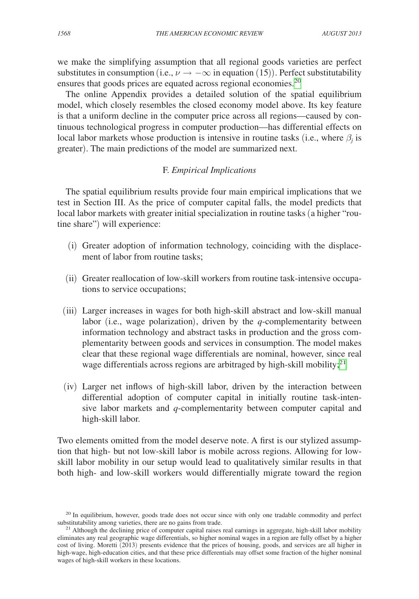we make the simplifying assumption that all regional goods varieties are perfect substitutes in consumption (i.e.,  $\nu \rightarrow -\infty$  in equation (15)). Perfect substitutability ensures that goods prices are equated across regional economies.<sup>[20](#page-15-0)</sup>

The online Appendix provides a detailed solution of the spatial equilibrium model, which closely resembles the closed economy model above. Its key feature is that a uniform decline in the computer price across all regions—caused by continuous technological progress in computer production—has differential effects on local labor markets whose production is intensive in routine tasks (i.e., where  $\beta_j$  is greater). The main predictions of the model are summarized next.

# F. *Empirical Implications*

The spatial equilibrium results provide four main empirical implications that we test in Section III. As the price of computer capital falls, the model predicts that local labor markets with greater initial specialization in routine tasks (a higher "routine share") will experience:

- (i) Greater adoption of information technology, coinciding with the displacement of labor from routine tasks;
- (ii) Greater reallocation of low-skill workers from routine task-intensive occupations to service occupations;
- (iii) Larger increases in wages for both high-skill abstract and low-skill manual labor (i.e., wage polarization), driven by the *q*-complementarity between information technology and abstract tasks in production and the gross complementarity between goods and services in consumption. The model makes clear that these regional wage differentials are nominal, however, since real wage differentials across regions are arbitraged by high-skill mobility;<sup>[21](#page-15-1)</sup>
- (iv) Larger net inflows of high-skill labor, driven by the interaction between differential adoption of computer capital in initially routine task-intensive labor markets and *q*-complementarity between computer capital and high-skill labor.

Two elements omitted from the model deserve note. A first is our stylized assumption that high- but not low-skill labor is mobile across regions. Allowing for lowskill labor mobility in our setup would lead to qualitatively similar results in that both high- and low-skill workers would differentially migrate toward the region

<span id="page-15-0"></span> $20$  In equilibrium, however, goods trade does not occur since with only one tradable commodity and perfect substitutability among varieties, there are no gains from trade.

<span id="page-15-1"></span><sup>&</sup>lt;sup>21</sup> Although the declining price of computer capital raises real earnings in aggregate, high-skill labor mobility eliminates any real geographic wage differentials, so higher nominal wages in a region are fully offset by a higher cost of living. Moretti (2013) presents evidence that the prices of housing, goods, and services are all higher in high-wage, high-education cities, and that these price differentials may offset some fraction of the higher nominal wages of high-skill workers in these locations.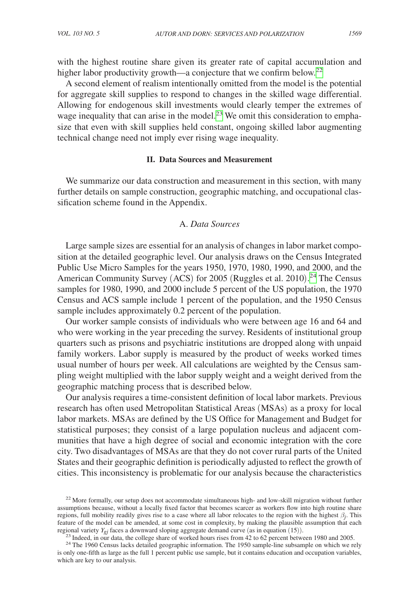with the highest routine share given its greater rate of capital accumulation and higher labor productivity growth—a conjecture that we confirm below.<sup>[22](#page-16-0)</sup>

A second element of realism intentionally omitted from the model is the potential for aggregate skill supplies to respond to changes in the skilled wage differential. Allowing for endogenous skill investments would clearly temper the extremes of wage inequality that can arise in the model.<sup>23</sup> We omit this consideration to emphasize that even with skill supplies held constant, ongoing skilled labor augmenting technical change need not imply ever rising wage inequality.

#### **II. Data Sources and Measurement**

We summarize our data construction and measurement in this section, with many further details on sample construction, geographic matching, and occupational classification scheme found in the Appendix.

# A. *Data Sources*

Large sample sizes are essential for an analysis of changes in labor market composition at the detailed geographic level. Our analysis draws on the Census Integrated Public Use Micro Samples for the years 1950, 1970, 1980, 1990, and 2000, and the American Community Survey (ACS) for 2005 (Ruggles et al. 2010). [24](#page-16-2) The Census samples for 1980, 1990, and 2000 include 5 percent of the US population, the 1970 Census and ACS sample include 1 percent of the population, and the 1950 Census sample includes approximately 0.2 percent of the population.

Our worker sample consists of individuals who were between age 16 and 64 and who were working in the year preceding the survey. Residents of institutional group quarters such as prisons and psychiatric institutions are dropped along with unpaid family workers. Labor supply is measured by the product of weeks worked times usual number of hours per week. All calculations are weighted by the Census sampling weight multiplied with the labor supply weight and a weight derived from the geographic matching process that is described below.

Our analysis requires a time-consistent definition of local labor markets. Previous research has often used Metropolitan Statistical Areas (MSAs) as a proxy for local labor markets. MSAs are defined by the US Office for Management and Budget for statistical purposes; they consist of a large population nucleus and adjacent communities that have a high degree of social and economic integration with the core city. Two disadvantages of MSAs are that they do not cover rural parts of the United States and their geographic definition is periodically adjusted to reflect the growth of cities. This inconsistency is problematic for our analysis because the characteristics

<span id="page-16-0"></span> $22$  More formally, our setup does not accommodate simultaneous high- and low-skill migration without further assumptions because, without a locally fixed factor that becomes scarcer as workers flow into high routine share regions, full mobility readily gives rise to a case where all labor relocates to the region with the highest  $\beta_i$ . This feature of the model can be amended, at some cost in complexity, by making the plausible assumption that each regional variety  $Y_{gi}$  faces a downward sloping aggregate demand curve (as in equation (15)).

<span id="page-16-2"></span><span id="page-16-1"></span><sup>&</sup>lt;sup>23</sup> Indeed, in our data, the college share of worked hours rises from  $\frac{42}{10}$  to 62 percent between 1980 and 2005.<br><sup>24</sup> The 1960 Census lacks detailed geographic information. The 1950 sample-line subsample on which w

is only one-fifth as large as the full 1 percent public use sample, but it contains education and occupation variables, which are key to our analysis.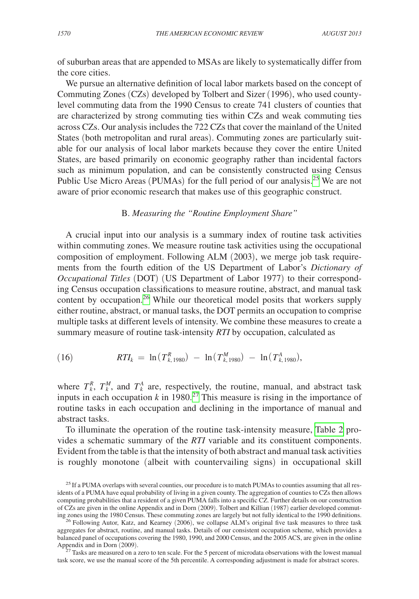of suburban areas that are appended to MSAs are likely to systematically differ from the core cities.

We pursue an alternative definition of local labor markets based on the concept of Commuting Zones (CZs) developed by Tolbert and Sizer (1996), who used countylevel commuting data from the 1990 Census to create 741 clusters of counties that are characterized by strong commuting ties within CZs and weak commuting ties across CZs. Our analysis includes the 722 CZs that cover the mainland of the United States (both metropolitan and rural areas). Commuting zones are particularly suitable for our analysis of local labor markets because they cover the entire United States, are based primarily on economic geography rather than incidental factors such as minimum population, and can be consistently constructed using Census Public Use Micro Areas (PUMAs) for the full period of our analysis.<sup>25</sup> We are not aware of prior economic research that makes use of this geographic construct.

# B. *Measuring the "Routine Employment Share"*

A crucial input into our analysis is a summary index of routine task activities within commuting zones. We measure routine task activities using the occupational composition of employment. Following ALM (2003), we merge job task requirements from the fourth edition of the US Department of Labor's *Dictionary of Occupational Titles* (DOT) (US Department of Labor 1977) to their corresponding Census occupation classifications to measure routine, abstract, and manual task content by occupation.<sup>26</sup> While our theoretical model posits that workers supply either routine, abstract, or manual tasks, the DOT permits an occupation to comprise multiple tasks at different levels of intensity. We combine these measures to create a summary measure of routine task-intensity *RTI* by occupation, calculated as

(16) 
$$
RTI_k = \ln(T_{k,1980}^R) - \ln(T_{k,1980}^M) - \ln(T_{k,1980}^A),
$$

where  $T_k^R$ ,  $T_k^M$ , and  $T_k^A$  are, respectively, the routine, manual, and abstract task inputs in each occupation  $k$  in 1980.<sup>[27](#page-17-2)</sup> This measure is rising in the importance of routine tasks in each occupation and declining in the importance of manual and abstract tasks.

To illuminate the operation of the routine task-intensity measure, [Table 2](#page-18-0) provides a schematic summary of the *RTI* variable and its constituent components. Evident from the table is that the intensity of both abstract and manual task activities is roughly monotone (albeit with countervailing signs) in occupational skill

<span id="page-17-0"></span><sup>&</sup>lt;sup>25</sup> If a PUMA overlaps with several counties, our procedure is to match PUMAs to counties assuming that all residents of a PUMA have equal probability of living in a given county. The aggregation of counties to CZs then allows computing probabilities that a resident of a given PUMA falls into a specific CZ. Further details on our construction of CZs are given in the online Appendix and in Dorn (2009). Tolbert and Killian (1987) earlier developed commut-<br>ing zones using the 1980 Census. These commuting zones are largely but not fully identical to the 1990 defini

<span id="page-17-1"></span><sup>&</sup>lt;sup>26</sup> Following Autor, Katz, and Kearney (2006), we collapse ALM's original five task measures to three task aggregates for abstract, routine, and manual tasks. Details of our consistent occupation scheme, which provides a balanced panel of occupations covering the 1980, 1990, and 2000 Census, and the 2005 ACS, are given in the online Appendix and in Dorn (2009).

<span id="page-17-2"></span> $^{27}$  Tasks are measured on a zero to ten scale. For the 5 percent of microdata observations with the lowest manual task score, we use the manual score of the 5th percentile. A corresponding adjustment is made for abstract scores.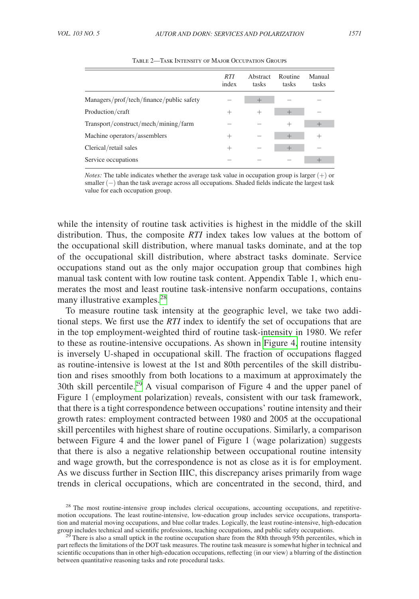<span id="page-18-0"></span>

|                                          | RTI<br>index | Abstract<br>tasks | Routine<br>tasks | Manual<br>tasks |
|------------------------------------------|--------------|-------------------|------------------|-----------------|
| Managers/prof/tech/finance/public safety |              |                   |                  |                 |
| Production/craft                         |              | $^{+}$            |                  |                 |
| Transport/construct/mech/mining/farm     |              |                   | $^{+}$           | $\pm$           |
| Machine operators/assemblers             |              |                   |                  | $^+$            |
| Clerical/retail sales                    | $^+$         |                   | $\!$             |                 |
| Service occupations                      |              |                   |                  |                 |

Table 2—Task Intensity of Major Occupation Groups

*Notes:* The table indicates whether the average task value in occupation group is larger (+) or smaller (−) than the task average across all occupations. Shaded fields indicate the largest task value for each occupation group.

while the intensity of routine task activities is highest in the middle of the skill distribution. Thus, the composite *RTI* index takes low values at the bottom of the occupational skill distribution, where manual tasks dominate, and at the top of the occupational skill distribution, where abstract tasks dominate. Service occupations stand out as the only major occupation group that combines high manual task content with low routine task content. Appendix Table 1, which enumerates the most and least routine task-intensive nonfarm occupations, contains many illustrative examples.<sup>[28](#page-18-1)</sup>

To measure routine task intensity at the geographic level, we take two additional steps. We first use the *RTI* index to identify the set of occupations that are in the top employment-weighted third of routine task-intensity in 1980. We refer to these as routine-intensive occupations. As shown in [Figure 4,](#page-19-0) routine intensity is inversely U-shaped in occupational skill. The fraction of occupations flagged as routine-intensive is lowest at the 1st and 80th percentiles of the skill distribution and rises smoothly from both locations to a maximum at approximately the 30th skill percentile.<sup>[29](#page-18-2)</sup> A visual comparison of Figure 4 and the upper panel of Figure 1 (employment polarization) reveals, consistent with our task framework, that there is a tight correspondence between occupations' routine intensity and their growth rates: employment contracted between 1980 and 2005 at the occupational skill percentiles with highest share of routine occupations. Similarly, a comparison between Figure 4 and the lower panel of Figure 1 (wage polarization) suggests that there is also a negative relationship between occupational routine intensity and wage growth, but the correspondence is not as close as it is for employment. As we discuss further in Section IIIC, this discrepancy arises primarily from wage trends in clerical occupations, which are concentrated in the second, third, and

<span id="page-18-1"></span><sup>&</sup>lt;sup>28</sup> The most routine-intensive group includes clerical occupations, accounting occupations, and repetitivemotion occupations. The least routine-intensive, low-education group includes service occupations, transportation and material moving occupations, and blue collar trades. Logically, the least routine-intensive, high-education group includes technical and scientific professions, teaching occupations, and public safety occupations.

<span id="page-18-2"></span> $2<sup>9</sup>$  There is also a small uptick in the routine occupation share from the 80th through 95th percentiles, which in part reflects the limitations of the DOT task measures. The routine task measure is somewhat higher in technical and scientific occupations than in other high-education occupations, reflecting (in our view) a blurring of the distinction between quantitative reasoning tasks and rote procedural tasks.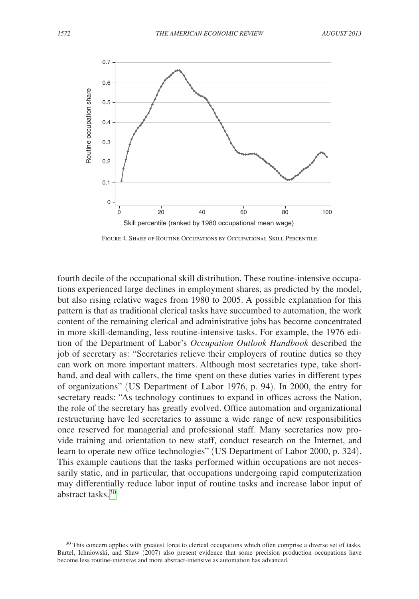<span id="page-19-0"></span>

Figure 4. Share of Routine Occupations by Occupational Skill Percentile

fourth decile of the occupational skill distribution. These routine-intensive occupations experienced large declines in employment shares, as predicted by the model, but also rising relative wages from 1980 to 2005. A possible explanation for this pattern is that as traditional clerical tasks have succumbed to automation, the work content of the remaining clerical and administrative jobs has become concentrated in more skill-demanding, less routine-intensive tasks. For example, the 1976 edition of the Department of Labor's *Occupation Outlook Handbook* described the job of secretary as: "Secretaries relieve their employers of routine duties so they can work on more important matters. Although most secretaries type, take shorthand, and deal with callers, the time spent on these duties varies in different types of organizations" (US Department of Labor 1976, p. 94). In 2000, the entry for secretary reads: "As technology continues to expand in offices across the Nation, the role of the secretary has greatly evolved. Office automation and organizational restructuring have led secretaries to assume a wide range of new responsibilities once reserved for managerial and professional staff. Many secretaries now provide training and orientation to new staff, conduct research on the Internet, and learn to operate new office technologies" (US Department of Labor 2000, p. 324). This example cautions that the tasks performed within occupations are not necessarily static, and in particular, that occupations undergoing rapid computerization may differentially reduce labor input of routine tasks and increase labor input of abstract tasks<sup>[30](#page-19-1)</sup>

<span id="page-19-1"></span><sup>&</sup>lt;sup>30</sup> This concern applies with greatest force to clerical occupations which often comprise a diverse set of tasks. Bartel, Ichniowski, and Shaw (2007) also present evidence that some precision production occupations have become less routine-intensive and more abstract-intensive as automation has advanced.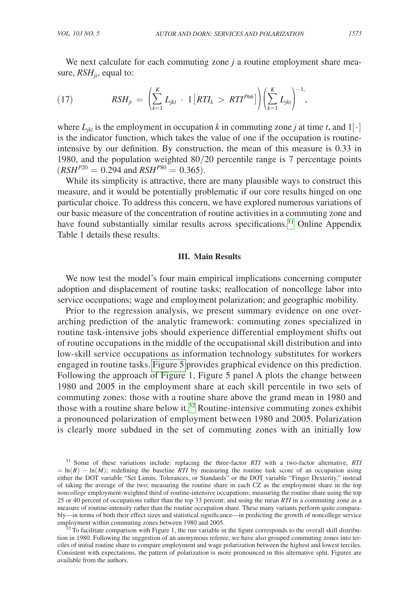We next calculate for each commuting zone *j* a routine employment share measure,  $RSH_{it}$ , equal to:

(17) 
$$
RSH_{jt} = \left(\sum_{k=1}^K L_{jkt} \cdot 1 [RTI_k > RTI^{P66}]\right) \left(\sum_{k=1}^K L_{jkt}\right)^{-1},
$$

where  $L_{ikt}$  is the employment in occupation k in commuting zone *j* at time t, and  $1[\cdot]$ is the indicator function, which takes the value of one if the occupation is routineintensive by our definition. By construction, the mean of this measure is 0.33 in 1980, and the population weighted 80/20 percentile range is 7 percentage points  $(RSH^{P20} = 0.294$  and  $RSH^{P80} = 0.365$ .

While its simplicity is attractive, there are many plausible ways to construct this measure, and it would be potentially problematic if our core results hinged on one particular choice. To address this concern, we have explored numerous variations of our basic measure of the concentration of routine activities in a commuting zone and have found substantially similar results across specifications.<sup>31</sup> Online Appendix Table 1 details these results.

#### **III. Main Results**

We now test the model's four main empirical implications concerning computer adoption and displacement of routine tasks; reallocation of noncollege labor into service occupations; wage and employment polarization; and geographic mobility.

Prior to the regression analysis, we present summary evidence on one overarching prediction of the analytic framework: commuting zones specialized in routine task-intensive jobs should experience differential employment shifts out of routine occupations in the middle of the occupational skill distribution and into low-skill service occupations as information technology substitutes for workers engaged in routine tasks. [Figure 5](#page-21-0) provides graphical evidence on this prediction. Following the approach of Figure 1, Figure 5 panel A plots the change between 1980 and 2005 in the employment share at each skill percentile in two sets of commuting zones: those with a routine share above the grand mean in 1980 and those with a routine share below it.<sup>[32](#page-20-1)</sup> Routine-intensive commuting zones exhibit a pronounced polarization of employment between 1980 and 2005. Polarization is clearly more subdued in the set of commuting zones with an initially low

<span id="page-20-0"></span><sup>31</sup> Some of these variations include: replacing the three-factor *RTI* with a two-factor alternative, *RTI*  $= \ln(R) - \ln(M)$ ; redefining the baseline *RTI* by measuring the routine task score of an occupation using either the DOT variable "Set Limits, Tolerances, or Standards" or the DOT variable "Finger Dexterity," instead of taking the average of the two; measuring the routine share in each CZ as the employment share in the top *noncollege* employment-weighted third of routine-intensive occupations; measuring the routine share using the top 25 or 40 percent of occupations rather than the top 33 percent; and using the mean *RTI* in a commuting zone as a measure of routine-intensity rather than the routine occupation share. These many variants perform quite comparably—in terms of both their effect sizes and statistical significance—in predicting the growth of noncollege service employment within commuting zones between 1980 and 2005.<br><sup>32</sup> To facilitate comparison with Figure 1, the run variable in the figure corresponds to the overall skill distribu-

<span id="page-20-1"></span>tion in 1980. Following the suggestion of an anonymous referee, we have also grouped commuting zones into terciles of initial routine share to compare employment and wage polarization between the highest and lowest terciles. Consistent with expectations, the pattern of polarization is more pronounced in this alternative split. Figures are available from the authors.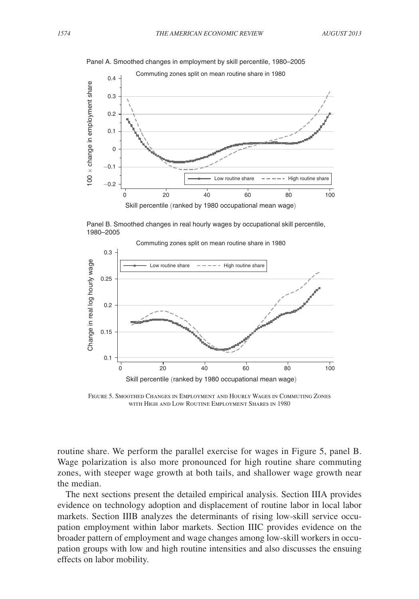<span id="page-21-0"></span>



Panel B. Smoothed changes in real hourly wages by occupational skill percentile, 1980–2005



Figure 5. Smoothed Changes in Employment and Hourly Wages in Commuting Zones with High and Low Routine Employment Shares in 1980

routine share. We perform the parallel exercise for wages in Figure 5, panel B. Wage polarization is also more pronounced for high routine share commuting zones, with steeper wage growth at both tails, and shallower wage growth near the median.

The next sections present the detailed empirical analysis. Section IIIA provides evidence on technology adoption and displacement of routine labor in local labor markets. Section IIIB analyzes the determinants of rising low-skill service occupation employment within labor markets. Section IIIC provides evidence on the broader pattern of employment and wage changes among low-skill workers in occupation groups with low and high routine intensities and also discusses the ensuing effects on labor mobility.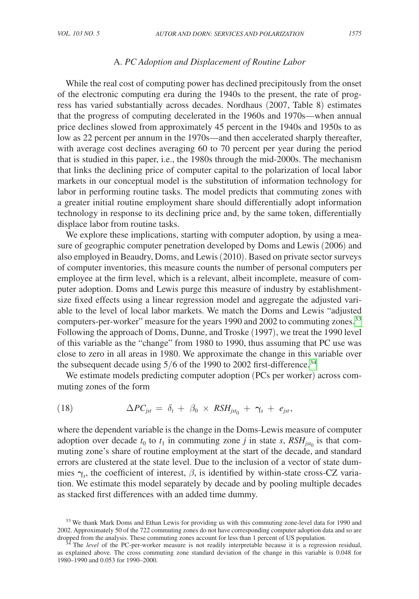# A. *PC Adoption and Displacement of Routine Labor*

While the real cost of computing power has declined precipitously from the onset of the electronic computing era during the 1940s to the present, the rate of progress has varied substantially across decades. Nordhaus (2007, Table 8) estimates that the progress of computing decelerated in the 1960s and 1970s—when annual price declines slowed from approximately 45 percent in the 1940s and 1950s to as low as 22 percent per annum in the 1970s—and then accelerated sharply thereafter, with average cost declines averaging 60 to 70 percent per year during the period that is studied in this paper, i.e., the 1980s through the mid-2000s. The mechanism that links the declining price of computer capital to the polarization of local labor markets in our conceptual model is the substitution of information technology for labor in performing routine tasks. The model predicts that commuting zones with a greater initial routine employment share should differentially adopt information technology in response to its declining price and, by the same token, differentially displace labor from routine tasks.

We explore these implications, starting with computer adoption, by using a measure of geographic computer penetration developed by Doms and Lewis (2006) and also employed in Beaudry, Doms, and Lewis (2010). Based on private sector surveys of computer inventories, this measure counts the number of personal computers per employee at the firm level, which is a relevant, albeit incomplete, measure of computer adoption. Doms and Lewis purge this measure of industry by establishmentsize fixed effects using a linear regression model and aggregate the adjusted variable to the level of local labor markets. We match the Doms and Lewis "adjusted computers-per-worker" measure for the years 1990 and 2002 to commuting zones.<sup>[33](#page-22-0)</sup> Following the approach of Doms, Dunne, and Troske (1997), we treat the 1990 level of this variable as the "change" from 1980 to 1990, thus assuming that PC use was close to zero in all areas in 1980. We approximate the change in this variable over the subsequent decade using  $5/6$  of the 1990 to 2002 first-difference.<sup>[34](#page-22-1)</sup>

We estimate models predicting computer adoption (PCs per worker) across commuting zones of the form

(18) 
$$
\Delta PC_{jst} = \delta_t + \beta_0 \times RSH_{jst_0} + \gamma_s + e_{jst},
$$

where the dependent variable is the change in the Doms-Lewis measure of computer adoption over decade  $t_0$  to  $t_1$  in commuting zone *j* in state *s*,  $RSH_{jst_0}$  is that commuting zone's share of routine employment at the start of the decade, and standard errors are clustered at the state level. Due to the inclusion of a vector of state dummies  $\gamma$ <sub>*s*</sub>, the coefficient of interest,  $\beta$ , is identified by within-state cross-CZ variation. We estimate this model separately by decade and by pooling multiple decades as stacked first differences with an added time dummy.

<span id="page-22-0"></span><sup>&</sup>lt;sup>33</sup> We thank Mark Doms and Ethan Lewis for providing us with this commuting zone-level data for 1990 and 2002. Approximately 50 of the 722 commuting zones do not have corresponding computer adoption data and so are dropped from the analysis. These commuting zones account for less than 1 percent of US population.

<span id="page-22-1"></span><sup>&</sup>lt;sup>34</sup> The *level* of the PC-per-worker measure is not readily interpretable because it is a regression residual, as explained above. The cross commuting zone standard deviation of the change in this variable is 0.048 for 1980–1990 and 0.053 for 1990–2000.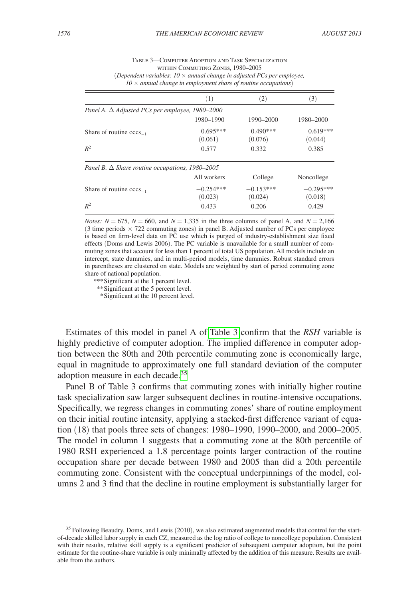| (Dependent variables: $10 \times$ annual change in adjusted PCs per employee,<br>$10 \times$ annual change in employment share of routine occupations) |                       |                       |                       |  |  |  |  |
|--------------------------------------------------------------------------------------------------------------------------------------------------------|-----------------------|-----------------------|-----------------------|--|--|--|--|
|                                                                                                                                                        |                       | 21                    | 3)                    |  |  |  |  |
| Panel A. $\Delta$ Adjusted PCs per employee, 1980–2000                                                                                                 |                       |                       |                       |  |  |  |  |
|                                                                                                                                                        | 1980-1990             | 1990-2000             | 1980-2000             |  |  |  |  |
| Share of routine $\alpha$ ccs <sub>-1</sub>                                                                                                            | $0.695***$<br>(0.061) | $0.490***$<br>(0.076) | $0.619***$<br>(0.044) |  |  |  |  |
| $R^2$                                                                                                                                                  | 0.577                 | 0.332                 | 0.385                 |  |  |  |  |

| TABLE 3-COMPUTER ADOPTION AND TASK SPECIALIZATION                          |
|----------------------------------------------------------------------------|
| WITHIN COMMUTING ZONES, 1980-2005                                          |
| Dependent variables: $10 \times$ annual change in adjusted PCs per employe |
| $10 \times$ ground change in employment share of routing occurations)      |

| Share of routine $\alpha$ ccs <sub>-1</sub>                                                                   | $-0.254***$<br>(0.023) | $-0.153***$<br>(0.024) | $-0.295***$<br>(0.018) |  |  |  |  |
|---------------------------------------------------------------------------------------------------------------|------------------------|------------------------|------------------------|--|--|--|--|
| $R^2$                                                                                                         | 0.433                  | 0.206                  | 0.429                  |  |  |  |  |
| <i>Notes:</i> $N = 675$ , $N = 660$ , and $N = 1,335$ in the three columns of panel A, and $N = 2,166$        |                        |                        |                        |  |  |  |  |
| $(3 \text{ time periods} \times 722 \text{ commuting zones})$ in panel B. Adjusted number of PCs per employee |                        |                        |                        |  |  |  |  |
| is based on firm-level data on PC use which is purged of industry-establishment size fixed                    |                        |                        |                        |  |  |  |  |
| effects (Doms and Lewis 2006). The PC variable is unavailable for a small number of com-                      |                        |                        |                        |  |  |  |  |
| muting zones that account for less than 1 percent of total US population. All models include an               |                        |                        |                        |  |  |  |  |

All workers College Noncollege

muting zones that account for less than 1 percent of total US population. All models incl intercept, state dummies, and in multi-period models, time dummies. Robust standard errors in parentheses are clustered on state. Models are weighted by start of period commuting zone share of national population.

*\*\*\**Significant at the 1 percent level.

*\*\**Significant at the 5 percent level.

*Panel B.* ∆ *Share routine occupations, 1980–2005*

 *\**Significant at the 10 percent level.

Estimates of this model in panel A of Table 3 confirm that the *RSH* variable is highly predictive of computer adoption. The implied difference in computer adoption between the 80th and 20th percentile commuting zone is economically large, equal in magnitude to approximately one full standard deviation of the computer adoption measure in each decade.<sup>35</sup>

Panel B of Table 3 confirms that commuting zones with initially higher routine task specialization saw larger subsequent declines in routine-intensive occupations. Specifically, we regress changes in commuting zones' share of routine employment on their initial routine intensity, applying a stacked-first difference variant of equation (18) that pools three sets of changes: 1980–1990, 1990–2000, and 2000–2005. The model in column 1 suggests that a commuting zone at the 80th percentile of 1980 RSH experienced a 1.8 percentage points larger contraction of the routine occupation share per decade between 1980 and 2005 than did a 20th percentile commuting zone. Consistent with the conceptual underpinnings of the model, columns 2 and 3 find that the decline in routine employment is substantially larger for

<span id="page-23-0"></span><sup>&</sup>lt;sup>35</sup> Following Beaudry, Doms, and Lewis (2010), we also estimated augmented models that control for the startof-decade skilled labor supply in each CZ, measured as the log ratio of college to noncollege population. Consistent with their results, relative skill supply is a significant predictor of subsequent computer adoption, but the point estimate for the routine-share variable is only minimally affected by the addition of this measure. Results are available from the authors.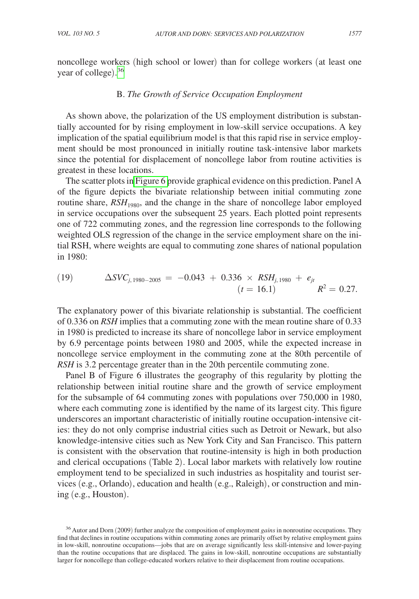noncollege workers (high school or lower) than for college workers (at least one year of college). [36](#page-24-0)

# B. *The Growth of Service Occupation Employment*

As shown above, the polarization of the US employment distribution is substantially accounted for by rising employment in low-skill service occupations. A key implication of the spatial equilibrium model is that this rapid rise in service employment should be most pronounced in initially routine task-intensive labor markets since the potential for displacement of noncollege labor from routine activities is greatest in these locations.

The scatter plots in [Figure 6 p](#page-25-0)rovide graphical evidence on this prediction. Panel A of the figure depicts the bivariate relationship between initial commuting zone routine share,  $RSH<sub>1980</sub>$ , and the change in the share of noncollege labor employed in service occupations over the subsequent 25 years. Each plotted point represents one of 722 commuting zones, and the regression line corresponds to the following weighted OLS regression of the change in the service employment share on the initial RSH, where weights are equal to commuting zone shares of national population in 1980:

(19) 
$$
\Delta SVC_{j,1980-2005} = -0.043 + 0.336 \times RSH_{j,1980} + e_{jt} (t = 16.1) \qquad R^2 = 0.27.
$$

The explanatory power of this bivariate relationship is substantial. The coefficient of 0.336 on *RSH* implies that a commuting zone with the mean routine share of 0.33 in 1980 is predicted to increase its share of noncollege labor in service employment by 6.9 percentage points between 1980 and 2005, while the expected increase in noncollege service employment in the commuting zone at the 80th percentile of *RSH* is 3.2 percentage greater than in the 20th percentile commuting zone.

Panel B of Figure 6 illustrates the geography of this regularity by plotting the relationship between initial routine share and the growth of service employment for the subsample of 64 commuting zones with populations over 750,000 in 1980, where each commuting zone is identified by the name of its largest city. This figure underscores an important characteristic of initially routine occupation-intensive cities: they do not only comprise industrial cities such as Detroit or Newark, but also knowledge-intensive cities such as New York City and San Francisco. This pattern is consistent with the observation that routine-intensity is high in both production and clerical occupations (Table 2). Local labor markets with relatively low routine employment tend to be specialized in such industries as hospitality and tourist services (e.g., Orlando), education and health (e.g., Raleigh), or construction and mining (e.g., Houston).

<span id="page-24-0"></span>36 Autor and Dorn (2009) further analyze the composition of employment *gains* in nonroutine occupations. They find that declines in routine occupations within commuting zones are primarily offset by relative employment gains in low-skill, nonroutine occupations—jobs that are on average significantly less skill-intensive and lower-paying than the routine occupations that are displaced. The gains in low-skill, nonroutine occupations are substantially larger for noncollege than college-educated workers relative to their displacement from routine occupations.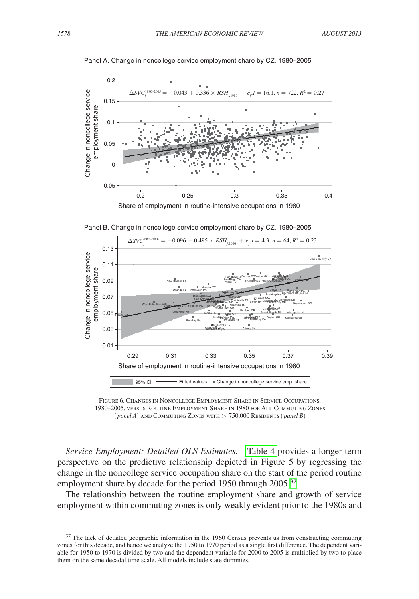

#### <span id="page-25-0"></span>Panel A. Change in noncollege service employment share by CZ, 1980–2005





Figure 6. Changes in Noncollege Employment Share in Service Occupations, 1980–2005, versus Routine Employment Share in 1980 for All Commuting Zones (*panel A*) and Commuting Zones with > 750,000 Residents (*panel B*)

*Service Employment: Detailed OLS Estimates.*[—Table 4](#page-26-0) provides a longer-term perspective on the predictive relationship depicted in Figure 5 by regressing the change in the noncollege service occupation share on the start of the period routine employment share by decade for the period 1950 through 2005.<sup>[37](#page-25-1)</sup>

The relationship between the routine employment share and growth of service employment within commuting zones is only weakly evident prior to the 1980s and

<span id="page-25-1"></span> $37$  The lack of detailed geographic information in the 1960 Census prevents us from constructing commuting zones for this decade, and hence we analyze the 1950 to 1970 period as a single first difference. The dependent variable for 1950 to 1970 is divided by two and the dependent variable for 2000 to 2005 is multiplied by two to place them on the same decadal time scale. All models include state dummies.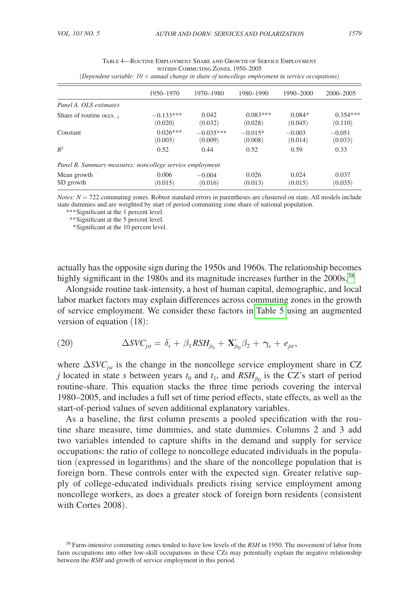| 1950-1970              | 1970-1980              | 1980-1990                                                | 1990-2000           | 2000-2005             |
|------------------------|------------------------|----------------------------------------------------------|---------------------|-----------------------|
|                        |                        |                                                          |                     |                       |
| $-0.133***$<br>(0.020) | 0.042<br>(0.032)       | $0.083***$<br>(0.028)                                    | $0.084*$<br>(0.045) | $0.354***$<br>(0.110) |
| $0.026***$<br>(0.003)  | $-0.035***$<br>(0.009) | $-0.015*$<br>(0.008)                                     | $-0.003$<br>(0.014) | $-0.051$<br>(0.033)   |
| 0.52                   | 0.44                   | 0.52                                                     | 0.59                | 0.33                  |
|                        |                        |                                                          |                     |                       |
| 0.006<br>(0.015)       | $-0.004$<br>(0.016)    | 0.026<br>(0.013)                                         | 0.024<br>(0.015)    | 0.037<br>(0.035)      |
|                        |                        | Panel B. Summary measures: noncollege service employment |                     |                       |

<span id="page-26-0"></span>

| TABLE 4-ROUTINE EMPLOYMENT SHARE AND GROWTH OF SERVICE EMPLOYMENT                                        |
|----------------------------------------------------------------------------------------------------------|
| WITHIN COMMUTING ZONES, 1950–2005                                                                        |
| (Dependent variable: $10 \times$ annual change in share of noncollege employment in service occupations) |

*Notes: N* = 722 commuting zones. Robust standard errors in parentheses are clustered on state. All models include state dummies and are weighted by start of period commuting zone share of national population.

*\*\*\**Significant at the 1 percent level.

*\*\**Significant at the 5 percent level.

 *\**Significant at the 10 percent level.

actually has the opposite sign during the 1950s and 1960s. The relationship becomes highly significant in the 1980s and its magnitude increases further in the 2000s.<sup>38</sup>

Alongside routine task-intensity, a host of human capital, demographic, and local labor market factors may explain differences across commuting zones in the growth of service employment. We consider these factors in [Table 5](#page-27-0) using an augmented version of equation (18):

(20) 
$$
\Delta SVC_{jst} = \delta_t + \beta_1 RSH_{jt_0} + \mathbf{X}'_{jt_0}\beta_2 + \gamma_s + e_{jst},
$$

where  $\Delta SVC_{\text{int}}$  is the change in the noncollege service employment share in CZ *j* located in state *s* between years  $t_0$  and  $t_1$ , and  $RSH_{jt_0}$  is the CZ's start of period routine-share. This equation stacks the three time periods covering the interval 1980–2005, and includes a full set of time period effects, state effects, as well as the start-of-period values of seven additional explanatory variables.

As a baseline, the first column presents a pooled specification with the routine share measure, time dummies, and state dummies. Columns 2 and 3 add two variables intended to capture shifts in the demand and supply for service occupations: the ratio of college to noncollege educated individuals in the population (expressed in logarithms) and the share of the noncollege population that is foreign born. These controls enter with the expected sign. Greater relative supply of college-educated individuals predicts rising service employment among noncollege workers, as does a greater stock of foreign born residents (consistent with Cortes 2008).

<span id="page-26-1"></span><sup>38</sup> Farm-intensive commuting zones tended to have low levels of the *RSH* in 1950. The movement of labor from farm occupations into other low-skill occupations in these CZs may potentially explain the negative relationship between the *RSH* and growth of service employment in this period.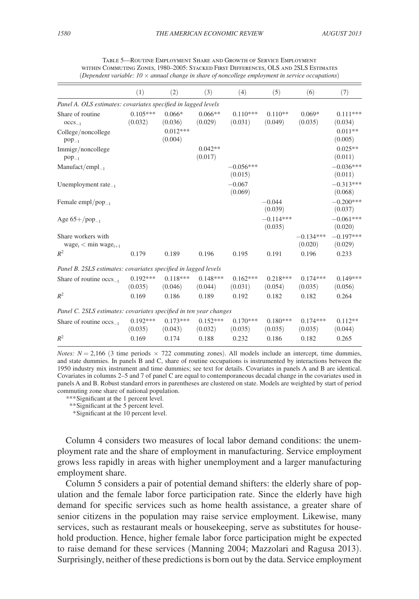|                                                                   | (1)                   | (2)                   | (3)                   | (4)                    | (5)                    | (6)                    | (7)                    |  |  |
|-------------------------------------------------------------------|-----------------------|-----------------------|-----------------------|------------------------|------------------------|------------------------|------------------------|--|--|
| Panel A. OLS estimates: covariates specified in lagged levels     |                       |                       |                       |                        |                        |                        |                        |  |  |
| Share of routine<br>$OCCS_{-1}$                                   | $0.105***$<br>(0.032) | $0.066*$<br>(0.036)   | $0.066**$<br>(0.029)  | $0.110***$<br>(0.031)  | $0.110**$<br>(0.049)   | $0.069*$<br>(0.035)    | $0.111***$<br>(0.034)  |  |  |
| College/noncollege<br>$pop_{-1}$                                  |                       | $0.012***$<br>(0.004) |                       |                        |                        |                        | $0.011**$<br>(0.005)   |  |  |
| Immigr/noncollege<br>$pop_{-1}$                                   |                       |                       | $0.042**$<br>(0.017)  |                        |                        |                        | $0.025**$<br>(0.011)   |  |  |
| $M$ anufact/empl <sub>-1</sub>                                    |                       |                       |                       | $-0.056***$<br>(0.015) |                        |                        | $-0.036***$<br>(0.011) |  |  |
| Unemployment rate_ $_1$                                           |                       |                       |                       | $-0.067$<br>(0.069)    |                        |                        | $-0.313***$<br>(0.068) |  |  |
| Female empl/pop <sub>-1</sub>                                     |                       |                       |                       |                        | $-0.044$<br>(0.039)    |                        | $-0.200***$<br>(0.037) |  |  |
| Age $65+/pop_{-1}$                                                |                       |                       |                       |                        | $-0.114***$<br>(0.035) |                        | $-0.061***$<br>(0.020) |  |  |
| Share workers with<br>$wage_t < min wage_{t+1}$                   |                       |                       |                       |                        |                        | $-0.134***$<br>(0.020) | $-0.197***$<br>(0.029) |  |  |
| $R^2$                                                             | 0.179                 | 0.189                 | 0.196                 | 0.195                  | 0.191                  | 0.196                  | 0.233                  |  |  |
| Panel B. 2SLS estimates: covariates specified in lagged levels    |                       |                       |                       |                        |                        |                        |                        |  |  |
| Share of routine $occs_{-1}$                                      | $0.192***$<br>(0.035) | $0.118***$<br>(0.046) | $0.148***$<br>(0.044) | $0.162***$<br>(0.031)  | $0.218***$<br>(0.054)  | $0.174***$<br>(0.035)  | $0.149***$<br>(0.056)  |  |  |
| $R^2$                                                             | 0.169                 | 0.186                 | 0.189                 | 0.192                  | 0.182                  | 0.182                  | 0.264                  |  |  |
| Panel C. 2SLS estimates: covariates specified in ten year changes |                       |                       |                       |                        |                        |                        |                        |  |  |
| Share of routine $\alpha$ ccs <sub>-1</sub>                       | $0.192***$<br>(0.035) | $0.173***$<br>(0.043) | $0.152***$<br>(0.032) | $0.170***$<br>(0.035)  | $0.180***$<br>(0.035)  | $0.174***$<br>(0.035)  | $0.112**$<br>(0.044)   |  |  |
| $R^2$                                                             | 0.169                 | 0.174                 | 0.188                 | 0.232                  | 0.186                  | 0.182                  | 0.265                  |  |  |

<span id="page-27-0"></span>Table 5—Routine Employment Share and Growth of Service Employment within Commuting Zones, 1980–2005: Stacked First Differences, OLS and 2SLS Estimates (*Dependent variable: 10* × *annual change in share of noncollege employment in service occupations*)

*Notes:*  $N = 2,166$  (3 time periods  $\times$  722 commuting zones). All models include an intercept, time dummies, and state dummies. In panels B and C, share of routine occupations is instrumented by interactions between the 1950 industry mix instrument and time dummies; see text for details. Covariates in panels A and B are identical. Covariates in columns 2–5 and 7 of panel C are equal to contemporaneous decadal change in the covariates used in panels A and B. Robust standard errors in parentheses are clustered on state. Models are weighted by start of period commuting zone share of national population.

*\*\*\**Significant at the 1 percent level.

*\*\**Significant at the 5 percent level.

 *\**Significant at the 10 percent level.

Column 4 considers two measures of local labor demand conditions: the unemployment rate and the share of employment in manufacturing. Service employment grows less rapidly in areas with higher unemployment and a larger manufacturing employment share.

Column 5 considers a pair of potential demand shifters: the elderly share of population and the female labor force participation rate. Since the elderly have high demand for specific services such as home health assistance, a greater share of senior citizens in the population may raise service employment. Likewise, many services, such as restaurant meals or housekeeping, serve as substitutes for household production. Hence, higher female labor force participation might be expected to raise demand for these services (Manning 2004; Mazzolari and Ragusa 2013). Surprisingly, neither of these predictions is born out by the data. Service employment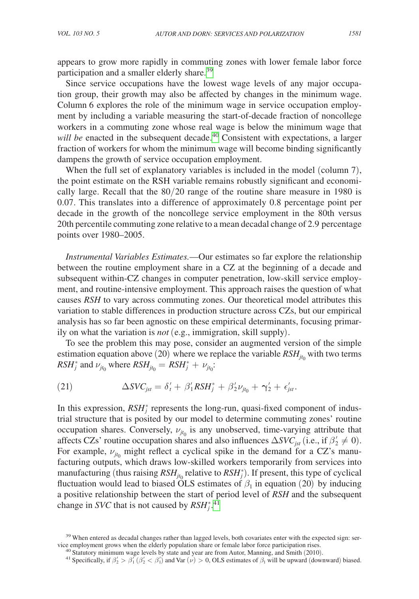appears to grow more rapidly in commuting zones with lower female labor force participation and a smaller elderly share.<sup>39</sup>

Since service occupations have the lowest wage levels of any major occupation group, their growth may also be affected by changes in the minimum wage. Column 6 explores the role of the minimum wage in service occupation employment by including a variable measuring the start-of-decade fraction of noncollege workers in a commuting zone whose real wage is below the minimum wage that *will be* enacted in the subsequent decade.<sup>[40](#page-28-1)</sup> Consistent with expectations, a larger fraction of workers for whom the minimum wage will become binding significantly dampens the growth of service occupation employment.

When the full set of explanatory variables is included in the model (column 7), the point estimate on the RSH variable remains robustly significant and economically large. Recall that the 80/20 range of the routine share measure in 1980 is 0.07. This translates into a difference of approximately 0.8 percentage point per decade in the growth of the noncollege service employment in the 80th versus 20th percentile commuting zone relative to a mean decadal change of 2.9 percentage points over 1980–2005.

*Instrumental Variables Estimates.*—Our estimates so far explore the relationship between the routine employment share in a CZ at the beginning of a decade and subsequent within-CZ changes in computer penetration, low-skill service employment, and routine-intensive employment. This approach raises the question of what causes *RSH* to vary across commuting zones. Our theoretical model attributes this variation to stable differences in production structure across CZs, but our empirical analysis has so far been agnostic on these empirical determinants, focusing primarily on what the variation is *not* (e.g., immigration, skill supply).

To see the problem this may pose, consider an augmented version of the simple estimation equation above (20) where we replace the variable  $RSH_{jt_0}$  with two terms  $RSH_j^*$  and  $\nu_{jt_0}$  where  $RSH_{jt_0} = RSH_j^* + \nu_{jt_0}$ :

(21) 
$$
\Delta SVC_{jst} = \delta'_{t} + \beta'_{1} RSH_{j}^{*} + \beta'_{2} \nu_{jt_{0}} + \gamma'_{2} + \epsilon'_{jst}.
$$

In this expression,  $RSH_j^*$  represents the long-run, quasi-fixed component of industrial structure that is posited by our model to determine commuting zones' routine occupation shares. Conversely,  $\nu_{j t_0}$  is any unobserved, time-varying attribute that affects CZs' routine occupation shares and also influences  $\Delta SVC_{jst}$  (i.e., if  $\beta'_2 \neq 0$ ). For example,  $\nu_{j t_0}$  might reflect a cyclical spike in the demand for a CZ's manufacturing outputs, which draws low-skilled workers temporarily from services into manufacturing (thus raising  $RSH_{jt_0}$  relative to  $RSH_j^*$ ). If present, this type of cyclical fluctuation would lead to biased OLS estimates of  $\beta_1$  in equation (20) by inducing a positive relationship between the start of period level of *RSH* and the subsequent change in *SVC* that is not caused by  $RSH^{*41}_j$  $RSH^{*41}_j$  $RSH^{*41}_j$ .

<span id="page-28-0"></span><sup>&</sup>lt;sup>39</sup> When entered as decadal changes rather than lagged levels, both covariates enter with the expected sign: ser-<br>vice employment grows when the elderly population share or female labor force participation rises. wice employment grows when the elderly population share or female labor force participation rises.<br><sup>40</sup> Statutory minimum wage levels by state and year are from Autor, Manning, and Smith (2010).<br><sup>41</sup> Specifically, if  $\beta'_$ 

<span id="page-28-1"></span>

<span id="page-28-2"></span>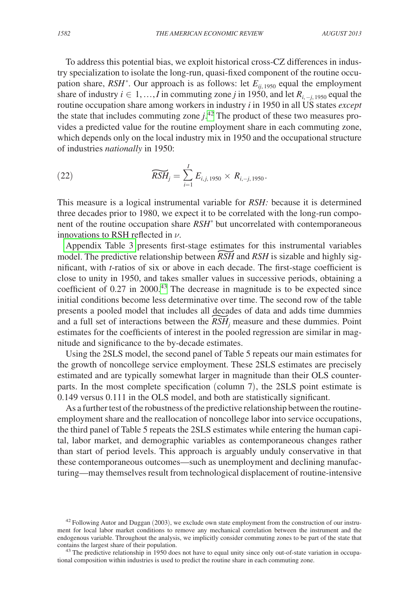To address this potential bias, we exploit historical cross-CZ differences in industry specialization to isolate the long-run, quasi-fixed component of the routine occupation share,  $RSH^*$ . Our approach is as follows: let  $E_{ij, 1950}$  equal the employment share of industry  $i \in 1, \ldots, I$  in commuting zone *j* in 1950, and let  $R_{i-i, 1950}$  equal the routine occupation share among workers in industry *i* in 1950 in all US states *except* the state that includes commuting zone *j*. [42](#page-29-0) The product of these two measures provides a predicted value for the routine employment share in each commuting zone, which depends only on the local industry mix in 1950 and the occupational structure of industries *nationally* in 1950:

(22) 
$$
\widetilde{RSH}_j = \sum_{i=1}^I E_{i,j,1950} \times R_{i,-j,1950}.
$$

This measure is a logical instrumental variable for *RSH:* because it is determined three decades prior to 1980, we expect it to be correlated with the long-run component of the routine occupation share *RSH\** but uncorrelated with contemporaneous innovations to RSH reflected in  $\nu$ .

[Appendix Table 3](#page-40-0) presents first-stage estimates for this instrumental variables model. The predictive relationship between  $RSH$  and  $RSH$  is sizable and highly significant, with *t*-ratios of six or above in each decade. The first-stage coefficient is close to unity in 1950, and takes smaller values in successive periods, obtaining a coefficient of  $0.27$  in  $2000<sup>43</sup>$  $2000<sup>43</sup>$  $2000<sup>43</sup>$ . The decrease in magnitude is to be expected since initial conditions become less determinative over time. The second row of the table presents a pooled model that includes all decades of data and adds time dummies presents a pooled model that includes all decades of data and adds time dummies and a full set of interactions between the  $\widetilde{RSH}_j$  measure and these dummies. Point estimates for the coefficients of interest in the pooled regression are similar in magnitude and significance to the by-decade estimates.

Using the 2SLS model, the second panel of Table 5 repeats our main estimates for the growth of noncollege service employment. These 2SLS estimates are precisely estimated and are typically somewhat larger in magnitude than their OLS counterparts. In the most complete specification (column 7), the 2SLS point estimate is 0.149 versus 0.111 in the OLS model, and both are statistically significant.

As a further test of the robustness of the predictive relationship between the routineemployment share and the reallocation of noncollege labor into service occupations, the third panel of Table 5 repeats the 2SLS estimates while entering the human capital, labor market, and demographic variables as contemporaneous changes rather than start of period levels. This approach is arguably unduly conservative in that these contemporaneous outcomes—such as unemployment and declining manufacturing—may themselves result from technological displacement of routine-intensive

<span id="page-29-0"></span> $42$  Following Autor and Duggan (2003), we exclude own state employment from the construction of our instrument for local labor market conditions to remove any mechanical correlation between the instrument and the endogenous variable. Throughout the analysis, we implicitly consider commuting zones to be part of the state that contains the largest share of their population.<br><sup>43</sup> The predictive relationship in 1950 does not have to equal unity since only out-of-state variation in occupa-

<span id="page-29-1"></span>tional composition within industries is used to predict the routine share in each commuting zone.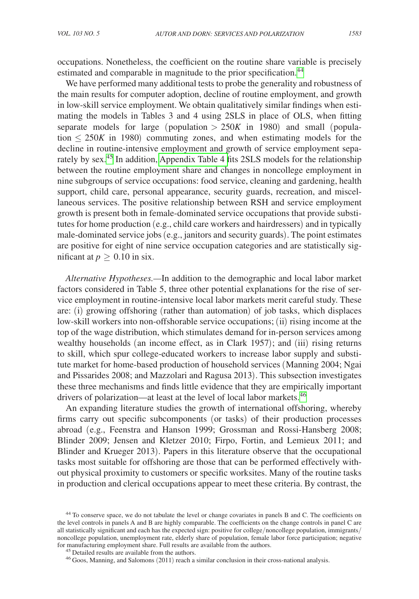occupations. Nonetheless, the coefficient on the routine share variable is precisely estimated and comparable in magnitude to the prior specification.<sup>44</sup>

We have performed many additional tests to probe the generality and robustness of the main results for computer adoption, decline of routine employment, and growth in low-skill service employment. We obtain qualitatively similar findings when estimating the models in Tables 3 and 4 using 2SLS in place of OLS, when fitting separate models for large (population  $> 250K$  in 1980) and small (population  $\leq$  250*K* in 1980) commuting zones, and when estimating models for the decline in routine-intensive employment and growth of service employment sepa-rately by sex.<sup>[45](#page-30-1)</sup> In addition, [Appendix Table 4 fi](#page-41-0)ts 2SLS models for the relationship between the routine employment share and changes in noncollege employment in nine subgroups of service occupations: food service, cleaning and gardening, health support, child care, personal appearance, security guards, recreation, and miscellaneous services. The positive relationship between RSH and service employment growth is present both in female-dominated service occupations that provide substitutes for home production (e.g., child care workers and hairdressers) and in typically male-dominated service jobs (e.g., janitors and security guards). The point estimates are positive for eight of nine service occupation categories and are statistically significant at  $p \geq 0.10$  in six.

*Alternative Hypotheses.—*In addition to the demographic and local labor market factors considered in Table 5, three other potential explanations for the rise of service employment in routine-intensive local labor markets merit careful study. These are: (i) growing offshoring (rather than automation) of job tasks, which displaces low-skill workers into non-offshorable service occupations; (ii) rising income at the top of the wage distribution, which stimulates demand for in-person services among wealthy households (an income effect, as in Clark 1957); and (iii) rising returns to skill, which spur college-educated workers to increase labor supply and substitute market for home-based production of household services (Manning 2004; Ngai and Pissarides 2008; and Mazzolari and Ragusa 2013). This subsection investigates these three mechanisms and finds little evidence that they are empirically important drivers of polarization—at least at the level of local labor markets.<sup>[46](#page-30-2)</sup>

An expanding literature studies the growth of international offshoring, whereby firms carry out specific subcomponents (or tasks) of their production processes abroad (e.g., Feenstra and Hanson 1999; Grossman and Rossi-Hansberg 2008; Blinder 2009; Jensen and Kletzer 2010; Firpo, Fortin, and Lemieux 2011; and Blinder and Krueger 2013). Papers in this literature observe that the occupational tasks most suitable for offshoring are those that can be performed effectively without physical proximity to customers or specific worksites. Many of the routine tasks in production and clerical occupations appear to meet these criteria. By contrast, the

<span id="page-30-0"></span><sup>&</sup>lt;sup>44</sup> To conserve space, we do not tabulate the level or change covariates in panels B and C. The coefficients on the level controls in panels A and B are highly comparable. The coefficients on the change controls in panel C are all statistically significant and each has the expected sign: positive for college/noncollege population, immigrants/ noncollege population, unemployment rate, elderly share of population, female labor force participation; negative<br>for manufacturing employment share. Full results are available from the authors.

<span id="page-30-2"></span><span id="page-30-1"></span>

 $45$  Detailed results are available from the authors.<br> $46$  Goos, Manning, and Salomons (2011) reach a similar conclusion in their cross-national analysis.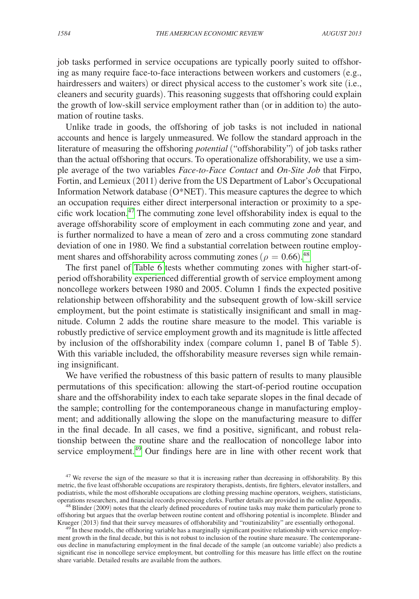job tasks performed in service occupations are typically poorly suited to offshoring as many require face-to-face interactions between workers and customers (e.g., hairdressers and waiters) or direct physical access to the customer's work site (i.e., cleaners and security guards). This reasoning suggests that offshoring could explain the growth of low-skill service employment rather than (or in addition to) the automation of routine tasks.

Unlike trade in goods, the offshoring of job tasks is not included in national accounts and hence is largely unmeasured. We follow the standard approach in the literature of measuring the offshoring *potential* ("offshorability") of job tasks rather than the actual offshoring that occurs. To operationalize offshorability, we use a simple average of the two variables *Face-to-Face Contact* and *On-Site Job* that Firpo, Fortin, and Lemieux (2011) derive from the US Department of Labor's Occupational Information Network database (O\*NET). This measure captures the degree to which an occupation requires either direct interpersonal interaction or proximity to a specific work location.[47](#page-31-0) The commuting zone level offshorability index is equal to the average offshorability score of employment in each commuting zone and year, and is further normalized to have a mean of zero and a cross commuting zone standard deviation of one in 1980. We find a substantial correlation between routine employment shares and offshorability across commuting zones ( $\rho = 0.66$ ).<sup>[48](#page-31-1)</sup>

The first panel of [Table 6](#page-32-0) tests whether commuting zones with higher start-ofperiod offshorability experienced differential growth of service employment among noncollege workers between 1980 and 2005. Column 1 finds the expected positive relationship between offshorability and the subsequent growth of low-skill service employment, but the point estimate is statistically insignificant and small in magnitude. Column 2 adds the routine share measure to the model. This variable is robustly predictive of service employment growth and its magnitude is little affected by inclusion of the offshorability index (compare column 1, panel B of Table 5). With this variable included, the offshorability measure reverses sign while remaining insignificant.

We have verified the robustness of this basic pattern of results to many plausible permutations of this specification: allowing the start-of-period routine occupation share and the offshorability index to each take separate slopes in the final decade of the sample; controlling for the contemporaneous change in manufacturing employment; and additionally allowing the slope on the manufacturing measure to differ in the final decade. In all cases, we find a positive, significant, and robust relationship between the routine share and the reallocation of noncollege labor into service employment.<sup>49</sup> Our findings here are in line with other recent work that

<span id="page-31-0"></span><sup>&</sup>lt;sup>47</sup> We reverse the sign of the measure so that it is increasing rather than decreasing in offshorability. By this metric, the five least offshorable occupations are respiratory therapists, dentists, fire fighters, elevator installers, and podiatrists, while the most offshorable occupations are clothing pressing machine operators, weighers, statisticians, operations researchers, and financial records processing clerks. Further details are provided in the onl

<span id="page-31-1"></span> $48$  Blinder (2009) notes that the clearly defined procedures of routine tasks may make them particularly prone to offshoring but argues that the overlap between routine content and offshoring potential is incomplete. Blinder and Krueger (2013) find that their survey measures of offshorability and "routinizability" are essentially orth

<span id="page-31-2"></span><sup>&</sup>lt;sup>49</sup> In these models, the offshoring variable has a marginally significant positive relationship with service employment growth in the final decade, but this is not robust to inclusion of the routine share measure. The contemporaneous decline in manufacturing employment in the final decade of the sample (an outcome variable) also predicts a significant rise in noncollege service employment, but controlling for this measure has little effect on the routine share variable. Detailed results are available from the authors.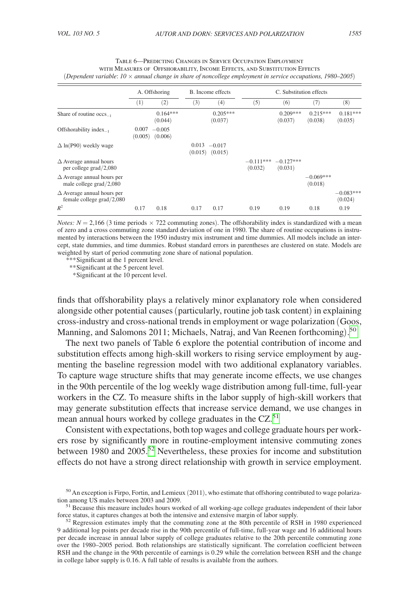|                                                                         |                  | A. Offshoring         | B. Income effects |                            | C. Substitution effects |                        |                        |                        |
|-------------------------------------------------------------------------|------------------|-----------------------|-------------------|----------------------------|-------------------------|------------------------|------------------------|------------------------|
|                                                                         | $\left(1\right)$ | (2)                   | (3)               | (4)                        | (5)                     | (6)                    | (7)                    | (8)                    |
| Share of routine $occs_{-1}$                                            |                  | $0.164***$<br>(0.044) |                   | $0.205***$<br>(0.037)      |                         | $0.209***$<br>(0.037)  | $0.215***$<br>(0.038)  | $0.181***$<br>(0.035)  |
| Offshorability index $_{-1}$                                            | 0.007<br>(0.005) | $-0.005$<br>(0.006)   |                   |                            |                         |                        |                        |                        |
| $\Delta$ ln(P90) weekly wage                                            |                  |                       | (0.015)           | $0.013 - 0.017$<br>(0.015) |                         |                        |                        |                        |
| $\Delta$ Average annual hours<br>per college grad $/2,080$              |                  |                       |                   |                            | $-0.111***$<br>(0.032)  | $-0.127***$<br>(0.031) |                        |                        |
| $\Delta$ Average annual hours per<br>male college $\text{grad}/2,080$   |                  |                       |                   |                            |                         |                        | $-0.069***$<br>(0.018) |                        |
| $\Delta$ Average annual hours per<br>female college $\text{grad}/2,080$ |                  |                       |                   |                            |                         |                        |                        | $-0.083***$<br>(0.024) |
| $R^2$                                                                   | 0.17             | 0.18                  | 0.17              | 0.17                       | 0.19                    | 0.19                   | 0.18                   | 0.19                   |

<span id="page-32-0"></span>Table 6—Predicting Changes in Service Occupation Employment with Measures of Offshorability, Income Effects, and Substitution Effects (*Dependent variable*: *10* × *annual change in share of noncollege employment in service occupations, 1980–2005*)

*Notes: N* = 2,166 (3 time periods  $\times$  722 commuting zones). The offshorability index is standardized with a mean of zero and a cross commuting zone standard deviation of one in 1980. The share of routine occupations is instrumented by interactions between the 1950 industry mix instrument and time dummies. All models include an intercept, state dummies, and time dummies. Robust standard errors in parentheses are clustered on state. Models are weighted by start of period commuting zone share of national population.

*\*\*\**Significant at the 1 percent level.

*\*\**Significant at the 5 percent level.

 *\**Significant at the 10 percent level.

finds that offshorability plays a relatively minor explanatory role when considered alongside other potential causes (particularly, routine job task content) in explaining cross-industry and cross-national trends in employment or wage polarization (Goos, Manning, and Salomons 2011; Michaels, Natraj, and Van Reenen forthcoming). [50](#page-32-1)

The next two panels of Table 6 explore the potential contribution of income and substitution effects among high-skill workers to rising service employment by augmenting the baseline regression model with two additional explanatory variables. To capture wage structure shifts that may generate income effects, we use changes in the 90th percentile of the log weekly wage distribution among full-time, full-year workers in the CZ. To measure shifts in the labor supply of high-skill workers that may generate substitution effects that increase service demand, we use changes in mean annual hours worked by college graduates in the  $CZ$ .<sup>[51](#page-32-2)</sup>

Consistent with expectations, both top wages and college graduate hours per workers rose by significantly more in routine-employment intensive commuting zones between 1980 and 2005.<sup>[52](#page-32-3)</sup> Nevertheless, these proxies for income and substitution effects do not have a strong direct relationship with growth in service employment.

<span id="page-32-1"></span> $50$  An exception is Firpo, Fortin, and Lemieux (2011), who estimate that offshoring contributed to wage polarization among US males between 2003 and 2009.

<span id="page-32-2"></span> $51$  Because this measure includes hours worked of all working-age college graduates independent of their labor force status, it captures changes at both the intensive and extensive margin of labor supply.

<span id="page-32-3"></span><sup>&</sup>lt;sup>52</sup> Regression estimates imply that the commuting zone at the 80th percentile of RSH in 1980 experienced 9 additional log points per decade rise in the 90th percentile of full-time, full-year wage and 16 additional hours per decade increase in annual labor supply of college graduates relative to the 20th percentile commuting zone over the 1980–2005 period. Both relationships are statistically significant. The correlation coefficient between RSH and the change in the 90th percentile of earnings is 0.29 while the correlation between RSH and the change in college labor supply is 0.16. A full table of results is available from the authors.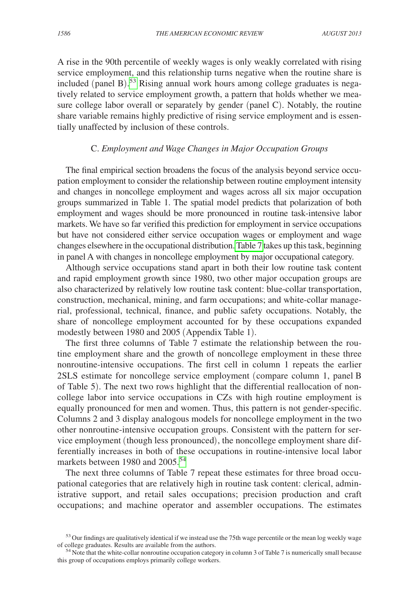A rise in the 90th percentile of weekly wages is only weakly correlated with rising service employment, and this relationship turns negative when the routine share is included (panel B). [53](#page-33-0) Rising annual work hours among college graduates is negatively related to service employment growth, a pattern that holds whether we measure college labor overall or separately by gender (panel C). Notably, the routine share variable remains highly predictive of rising service employment and is essentially unaffected by inclusion of these controls.

# C. *Employment and Wage Changes in Major Occupation Groups*

The final empirical section broadens the focus of the analysis beyond service occupation employment to consider the relationship between routine employment intensity and changes in noncollege employment and wages across all six major occupation groups summarized in Table 1. The spatial model predicts that polarization of both employment and wages should be more pronounced in routine task-intensive labor markets. We have so far verified this prediction for employment in service occupations but have not considered either service occupation wages or employment and wage changes elsewhere in the occupational distribution. [Table 7](#page-34-0) takes up this task, beginning in panel A with changes in noncollege employment by major occupational category.

Although service occupations stand apart in both their low routine task content and rapid employment growth since 1980, two other major occupation groups are also characterized by relatively low routine task content: blue-collar transportation, construction, mechanical, mining, and farm occupations; and white-collar managerial, professional, technical, finance, and public safety occupations. Notably, the share of noncollege employment accounted for by these occupations expanded modestly between 1980 and 2005 (Appendix Table 1).

The first three columns of Table 7 estimate the relationship between the routine employment share and the growth of noncollege employment in these three nonroutine-intensive occupations. The first cell in column 1 repeats the earlier 2SLS estimate for noncollege service employment (compare column 1, panel B of Table 5). The next two rows highlight that the differential reallocation of noncollege labor into service occupations in CZs with high routine employment is equally pronounced for men and women. Thus, this pattern is not gender-specific. Columns 2 and 3 display analogous models for noncollege employment in the two other nonroutine-intensive occupation groups. Consistent with the pattern for service employment (though less pronounced), the noncollege employment share differentially increases in both of these occupations in routine-intensive local labor markets between 1980 and 2005.<sup>[54](#page-33-1)</sup>

The next three columns of Table 7 repeat these estimates for three broad occupational categories that are relatively high in routine task content: clerical, administrative support, and retail sales occupations; precision production and craft occupations; and machine operator and assembler occupations. The estimates

<span id="page-33-0"></span> $53$  Our findings are qualitatively identical if we instead use the 75th wage percentile or the mean log weekly wage of college graduates. Results are available from the authors.

<span id="page-33-1"></span> $54$  Note that the white-collar nonroutine occupation category in column 3 of Table 7 is numerically small because this group of occupations employs primarily college workers.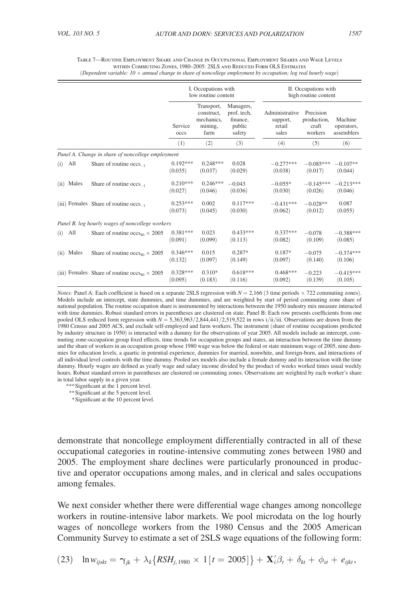|      |       |                                                           |                       | I. Occupations with<br>low routine content                                                                            |                       | II. Occupations with<br>high routine content  |                                              |                                     |  |
|------|-------|-----------------------------------------------------------|-----------------------|-----------------------------------------------------------------------------------------------------------------------|-----------------------|-----------------------------------------------|----------------------------------------------|-------------------------------------|--|
|      |       |                                                           | Service<br>occs       | Transport,<br>Managers,<br>prof, tech,<br>construct,<br>mechanics,<br>finance,<br>public<br>mining,<br>farm<br>safety |                       | Administrative<br>support,<br>retail<br>sales | Precision<br>production,<br>craft<br>workers | Machine<br>operators,<br>assemblers |  |
|      |       |                                                           | (1)                   | (2)                                                                                                                   | (3)                   | (4)                                           | (5)                                          | (6)                                 |  |
|      |       | Panel A. Change in share of noncollege employment         |                       |                                                                                                                       |                       |                                               |                                              |                                     |  |
| (i)  | All   | Share of routine $\alpha$ ccs <sub>-1</sub>               | $0.192***$<br>(0.035) | $0.248***$<br>(0.037)                                                                                                 | 0.028<br>(0.029)      | $-0.277***$<br>(0.038)                        | $-0.085***$<br>(0.017)                       | $-0.107**$<br>(0.044)               |  |
| (ii) | Males | Share of routine $\alpha$ ccs <sub>-1</sub>               | $0.210***$<br>(0.027) | $0.246***$<br>(0.046)                                                                                                 | $-0.043$<br>(0.036)   | $-0.055*$<br>(0.030)                          | $-0.145***$<br>(0.026)                       | $-0.213***$<br>(0.046)              |  |
|      |       | (iii) Females Share of routine $\mathrm{occ}_{-1}$        | $0.253***$<br>(0.073) | 0.002<br>(0.045)                                                                                                      | $0.117***$<br>(0.030) | $-0.431***$<br>(0.062)                        | $-0.028**$<br>(0.012)                        | 0.087<br>(0.055)                    |  |
|      |       | Panel B. log hourly wages of noncollege workers           |                       |                                                                                                                       |                       |                                               |                                              |                                     |  |
| (i)  | All   | Share of routine $\alpha$ ccs <sub>80</sub> $\times$ 2005 | $0.381***$<br>(0.091) | 0.023<br>(0.099)                                                                                                      | $0.433***$<br>(0.113) | $0.337***$<br>(0.082)                         | $-0.078$<br>(0.109)                          | $-0.388***$<br>(0.085)              |  |
| (ii) | Males | Share of routine $\alpha$ ccs <sub>80</sub> $\times$ 2005 | $0.346***$<br>(0.132) | 0.015<br>(0.097)                                                                                                      | $0.287*$<br>(0.149)   | $0.187*$<br>(0.097)                           | $-0.075$<br>(0.140)                          | $-0.374***$<br>(0.106)              |  |
|      |       | (iii) Females Share of routine $\arccos_{80} \times 2005$ | $0.328***$<br>(0.095) | $0.310*$<br>(0.183)                                                                                                   | $0.618***$<br>(0.116) | $0.468***$<br>(0.092)                         | $-0.223$<br>(0.139)                          | $-0.415***$<br>(0.105)              |  |

<span id="page-34-0"></span>Table 7—Routine Employment Share and Change in Occupational Employment Shares and Wage Levels within Commuting Zones, 1980–2005: 2SLS and Reduced Form OLS Estimates (*Dependent variable: 10* × *annual change in share of noncollege employment by occupation; log real hourly wage*)

*Notes: Panel A: Each coefficient is based on a separate 2SLS regression with*  $N = 2,166$  *(3 time periods*  $\times$  *722 commuting zones).* Models include an intercept, state dummies, and time dummies, and are weighted by start of period commuting zone share of national population. The routine occupation share is instrumented by interactions between the 1950 industry mix measure interacted with time dummies. Robust standard errors in parentheses are clustered on state. Panel B: Each row presents coefficients from one pooled OLS reduced form regression with  $N = 5.363,963/2,844,441/2,519,522$  in rows i/ii/iii. Observations are drawn from the 1980 Census and 2005 ACS, and exclude self-employed and farm workers. The instrument (share of routine occupations predicted by industry structure in 1950) is interacted with a dummy for the observations of year 2005. All models include an intercept, commuting zone-occupation group fixed effects, time trends for occupation groups and states, an interaction between the time dummy and the share of workers in an occupation group whose 1980 wage was below the federal or state minimum wage of 2005, nine dummies for education levels, a quartic in potential experience, dummies for married, nonwhite, and foreign-born, and interactions of all individual level controls with the time dummy. Pooled sex models also include a female dummy and its interaction with the time dummy. Hourly wages are defined as yearly wage and salary income divided by the product of weeks worked times usual weekly hours. Robust standard errors in parentheses are clustered on commuting zones. Observations are weighted by each worker's share in total labor supply in a given year.

*\*\*\**Significant at the 1 percent level.

*\*\**Significant at the 5 percent level.

 *\**Significant at the 10 percent level.

demonstrate that noncollege employment differentially contracted in all of these occupational categories in routine-intensive commuting zones between 1980 and 2005. The employment share declines were particularly pronounced in productive and operator occupations among males, and in clerical and sales occupations among females.

We next consider whether there were differential wage changes among noncollege workers in routine-intensive labor markets. We pool microdata on the log hourly wages of noncollege workers from the 1980 Census and the 2005 American Community Survey to estimate a set of 2SLS wage equations of the following form:

(23) 
$$
\ln w_{ijskt} = \gamma_{jk} + \lambda_k \{ RSH_{j,1980} \times 1 [t = 2005] \} + \mathbf{X}'_i \beta_t + \delta_{kt} + \phi_{st} + e_{ijkt},
$$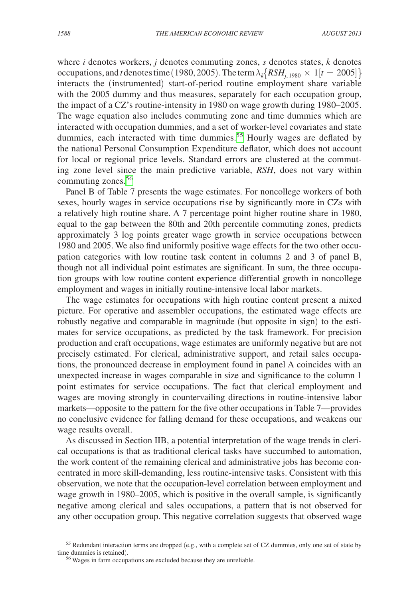where *i* denotes workers, *j* denotes commuting zones, *s* denotes states, *k* denotes occupations, and *t* denotes time (1980, 2005). The term  $\lambda_k$ { $RSH_{i, 1980} \times 1$  [ $t = 2005$ ]} interacts the (instrumented) start-of-period routine employment share variable with the 2005 dummy and thus measures, separately for each occupation group, the impact of a CZ's routine-intensity in 1980 on wage growth during 1980–2005. The wage equation also includes commuting zone and time dummies which are interacted with occupation dummies, and a set of worker-level covariates and state dummies, each interacted with time dummies.<sup>55</sup> Hourly wages are deflated by the national Personal Consumption Expenditure deflator, which does not account for local or regional price levels. Standard errors are clustered at the commuting zone level since the main predictive variable, *RSH*, does not vary within commuting zones.[56](#page-35-1)

Panel B of Table 7 presents the wage estimates. For noncollege workers of both sexes, hourly wages in service occupations rise by significantly more in CZs with a relatively high routine share. A 7 percentage point higher routine share in 1980, equal to the gap between the 80th and 20th percentile commuting zones, predicts approximately 3 log points greater wage growth in service occupations between 1980 and 2005. We also find uniformly positive wage effects for the two other occupation categories with low routine task content in columns 2 and 3 of panel B, though not all individual point estimates are significant. In sum, the three occupation groups with low routine content experience differential growth in noncollege employment and wages in initially routine-intensive local labor markets.

The wage estimates for occupations with high routine content present a mixed picture. For operative and assembler occupations, the estimated wage effects are robustly negative and comparable in magnitude (but opposite in sign) to the estimates for service occupations, as predicted by the task framework. For precision production and craft occupations, wage estimates are uniformly negative but are not precisely estimated. For clerical, administrative support, and retail sales occupations, the pronounced decrease in employment found in panel A coincides with an unexpected increase in wages comparable in size and significance to the column 1 point estimates for service occupations. The fact that clerical employment and wages are moving strongly in countervailing directions in routine-intensive labor markets—opposite to the pattern for the five other occupations in Table 7—provides no conclusive evidence for falling demand for these occupations, and weakens our wage results overall.

As discussed in Section IIB, a potential interpretation of the wage trends in clerical occupations is that as traditional clerical tasks have succumbed to automation, the work content of the remaining clerical and administrative jobs has become concentrated in more skill-demanding, less routine-intensive tasks. Consistent with this observation, we note that the occupation-level correlation between employment and wage growth in 1980–2005, which is positive in the overall sample, is significantly negative among clerical and sales occupations, a pattern that is not observed for any other occupation group. This negative correlation suggests that observed wage

<span id="page-35-0"></span><sup>&</sup>lt;sup>55</sup> Redundant interaction terms are dropped (e.g., with a complete set of CZ dummies, only one set of state by time dummies is retained).

<span id="page-35-1"></span><sup>&</sup>lt;sup>56</sup> Wages in farm occupations are excluded because they are unreliable.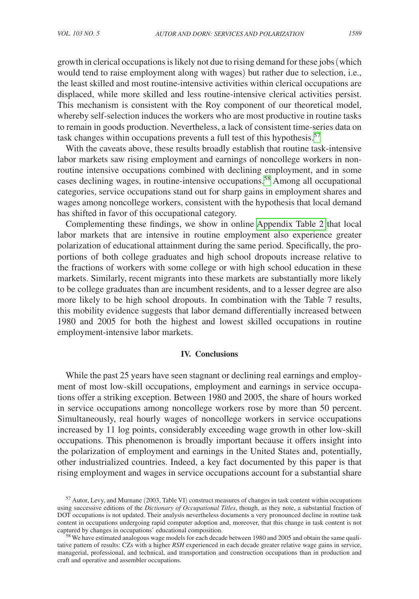growth in clerical occupations is likely not due to rising demand for these jobs (which would tend to raise employment along with wages) but rather due to selection, i.e., the least skilled and most routine-intensive activities within clerical occupations are displaced, while more skilled and less routine-intensive clerical activities persist. This mechanism is consistent with the Roy component of our theoretical model, whereby self-selection induces the workers who are most productive in routine tasks to remain in goods production. Nevertheless, a lack of consistent time-series data on task changes within occupations prevents a full test of this hypothesis.<sup>57</sup>

With the caveats above, these results broadly establish that routine task-intensive labor markets saw rising employment and earnings of noncollege workers in nonroutine intensive occupations combined with declining employment, and in some cases declining wages, in routine-intensive occupations[.58](#page-36-1) Among all occupational categories, service occupations stand out for sharp gains in employment shares and wages among noncollege workers, consistent with the hypothesis that local demand has shifted in favor of this occupational category.

Complementing these findings, we show in online [Appendix Table 2](#page-40-0) that local labor markets that are intensive in routine employment also experience greater polarization of educational attainment during the same period. Specifically, the proportions of both college graduates and high school dropouts increase relative to the fractions of workers with some college or with high school education in these markets. Similarly, recent migrants into these markets are substantially more likely to be college graduates than are incumbent residents, and to a lesser degree are also more likely to be high school dropouts. In combination with the Table 7 results, this mobility evidence suggests that labor demand differentially increased between 1980 and 2005 for both the highest and lowest skilled occupations in routine employment-intensive labor markets.

## **IV. Conclusions**

While the past 25 years have seen stagnant or declining real earnings and employment of most low-skill occupations, employment and earnings in service occupations offer a striking exception. Between 1980 and 2005, the share of hours worked in service occupations among noncollege workers rose by more than 50 percent. Simultaneously, real hourly wages of noncollege workers in service occupations increased by 11 log points, considerably exceeding wage growth in other low-skill occupations. This phenomenon is broadly important because it offers insight into the polarization of employment and earnings in the United States and, potentially, other industrialized countries. Indeed, a key fact documented by this paper is that rising employment and wages in service occupations account for a substantial share

<span id="page-36-0"></span><sup>57</sup> Autor, Levy, and Murnane (2003, Table VI) construct measures of changes in task content within occupations using successive editions of the *Dictionary of Occupational Titles*, though, as they note, a substantial fraction of DOT occupations is not updated. Their analysis nevertheless documents a very pronounced decline in routine task content in occupations undergoing rapid computer adoption and, moreover, that this change in task content is not

<span id="page-36-1"></span> $58$  We have estimated analogous wage models for each decade between 1980 and 2005 and obtain the same qualitative pattern of results: CZs with a higher *RSH* experienced in each decade greater relative wage gains in service, managerial, professional, and technical, and transportation and construction occupations than in production and craft and operative and assembler occupations.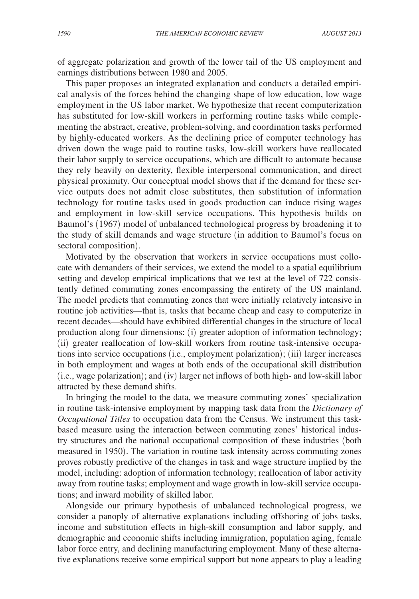of aggregate polarization and growth of the lower tail of the US employment and earnings distributions between 1980 and 2005.

This paper proposes an integrated explanation and conducts a detailed empirical analysis of the forces behind the changing shape of low education, low wage employment in the US labor market. We hypothesize that recent computerization has substituted for low-skill workers in performing routine tasks while complementing the abstract, creative, problem-solving, and coordination tasks performed by highly-educated workers. As the declining price of computer technology has driven down the wage paid to routine tasks, low-skill workers have reallocated their labor supply to service occupations, which are difficult to automate because they rely heavily on dexterity, flexible interpersonal communication, and direct physical proximity. Our conceptual model shows that if the demand for these service outputs does not admit close substitutes, then substitution of information technology for routine tasks used in goods production can induce rising wages and employment in low-skill service occupations. This hypothesis builds on Baumol's (1967) model of unbalanced technological progress by broadening it to the study of skill demands and wage structure (in addition to Baumol's focus on sectoral composition).

Motivated by the observation that workers in service occupations must collocate with demanders of their services, we extend the model to a spatial equilibrium setting and develop empirical implications that we test at the level of 722 consistently defined commuting zones encompassing the entirety of the US mainland. The model predicts that commuting zones that were initially relatively intensive in routine job activities—that is, tasks that became cheap and easy to computerize in recent decades—should have exhibited differential changes in the structure of local production along four dimensions: (i) greater adoption of information technology; (ii) greater reallocation of low-skill workers from routine task-intensive occupations into service occupations (i.e., employment polarization); (iii) larger increases in both employment and wages at both ends of the occupational skill distribution (i.e., wage polarization); and (iv) larger net inflows of both high- and low-skill labor attracted by these demand shifts.

In bringing the model to the data, we measure commuting zones' specialization in routine task-intensive employment by mapping task data from the *Dictionary of Occupational Titles* to occupation data from the Census. We instrument this taskbased measure using the interaction between commuting zones' historical industry structures and the national occupational composition of these industries (both measured in 1950). The variation in routine task intensity across commuting zones proves robustly predictive of the changes in task and wage structure implied by the model, including: adoption of information technology; reallocation of labor activity away from routine tasks; employment and wage growth in low-skill service occupations; and inward mobility of skilled labor.

Alongside our primary hypothesis of unbalanced technological progress, we consider a panoply of alternative explanations including offshoring of jobs tasks, income and substitution effects in high-skill consumption and labor supply, and demographic and economic shifts including immigration, population aging, female labor force entry, and declining manufacturing employment. Many of these alternative explanations receive some empirical support but none appears to play a leading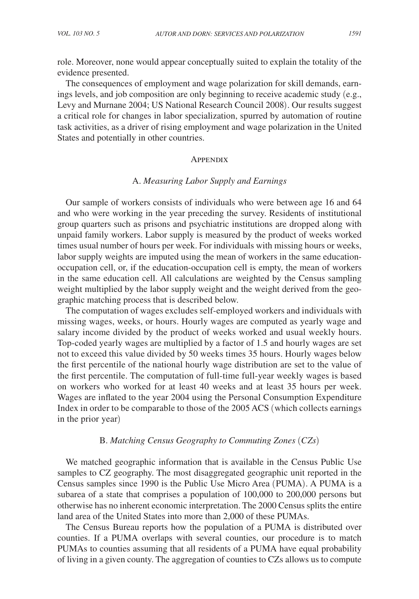role. Moreover, none would appear conceptually suited to explain the totality of the evidence presented.

The consequences of employment and wage polarization for skill demands, earnings levels, and job composition are only beginning to receive academic study (e.g., Levy and Murnane 2004; US National Research Council 2008). Our results suggest a critical role for changes in labor specialization, spurred by automation of routine task activities, as a driver of rising employment and wage polarization in the United States and potentially in other countries.

#### **APPENDIX**

## A. *Measuring Labor Supply and Earnings*

Our sample of workers consists of individuals who were between age 16 and 64 and who were working in the year preceding the survey. Residents of institutional group quarters such as prisons and psychiatric institutions are dropped along with unpaid family workers. Labor supply is measured by the product of weeks worked times usual number of hours per week. For individuals with missing hours or weeks, labor supply weights are imputed using the mean of workers in the same educationoccupation cell, or, if the education-occupation cell is empty, the mean of workers in the same education cell. All calculations are weighted by the Census sampling weight multiplied by the labor supply weight and the weight derived from the geographic matching process that is described below.

The computation of wages excludes self-employed workers and individuals with missing wages, weeks, or hours. Hourly wages are computed as yearly wage and salary income divided by the product of weeks worked and usual weekly hours. Top-coded yearly wages are multiplied by a factor of 1.5 and hourly wages are set not to exceed this value divided by 50 weeks times 35 hours. Hourly wages below the first percentile of the national hourly wage distribution are set to the value of the first percentile. The computation of full-time full-year weekly wages is based on workers who worked for at least 40 weeks and at least 35 hours per week. Wages are inflated to the year 2004 using the Personal Consumption Expenditure Index in order to be comparable to those of the 2005 ACS (which collects earnings in the prior year)

## B. *Matching Census Geography to Commuting Zones* (*CZs*)

We matched geographic information that is available in the Census Public Use samples to CZ geography. The most disaggregated geographic unit reported in the Census samples since 1990 is the Public Use Micro Area (PUMA). A PUMA is a subarea of a state that comprises a population of 100,000 to 200,000 persons but otherwise has no inherent economic interpretation. The 2000 Census splits the entire land area of the United States into more than 2,000 of these PUMAs.

The Census Bureau reports how the population of a PUMA is distributed over counties. If a PUMA overlaps with several counties, our procedure is to match PUMAs to counties assuming that all residents of a PUMA have equal probability of living in a given county. The aggregation of counties to CZs allows us to compute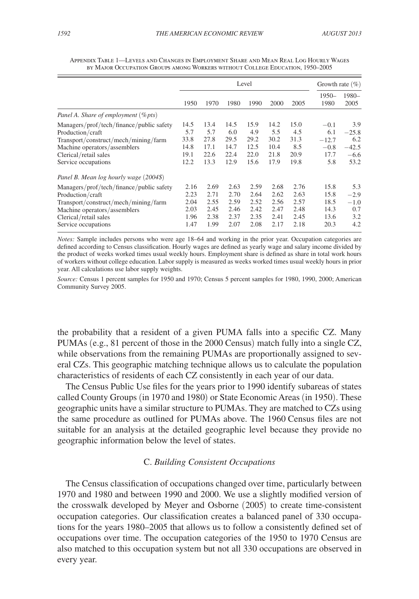|                                                                                                                                                                                      |                                              | Level                                        |                                              |                                              |                                              |                                              |                                                   | Growth rate $(\% )$                                |  |
|--------------------------------------------------------------------------------------------------------------------------------------------------------------------------------------|----------------------------------------------|----------------------------------------------|----------------------------------------------|----------------------------------------------|----------------------------------------------|----------------------------------------------|---------------------------------------------------|----------------------------------------------------|--|
|                                                                                                                                                                                      | 1950                                         | 1970                                         | 1980                                         | 1990                                         | 2000                                         | 2005                                         | $1950-$<br>1980                                   | 1980-<br>2005                                      |  |
| Panel A. Share of employment (% pts)                                                                                                                                                 |                                              |                                              |                                              |                                              |                                              |                                              |                                                   |                                                    |  |
| Managers/prof/tech/finance/public safety<br>Production/craft<br>Transport/construct/mech/mining/farm<br>Machine operators/assemblers<br>Clerical/retail sales<br>Service occupations | 14.5<br>5.7<br>33.8<br>14.8<br>19.1<br>12.2  | 13.4<br>5.7<br>27.8<br>17.1<br>22.6<br>13.3  | 14.5<br>6.0<br>29.5<br>14.7<br>22.4<br>12.9  | 15.9<br>4.9<br>29.2<br>12.5<br>22.0<br>15.6  | 14.2<br>5.5<br>30.2<br>10.4<br>21.8<br>17.9  | 15.0<br>4.5<br>31.3<br>8.5<br>20.9<br>19.8   | $-0.1$<br>6.1<br>$-12.7$<br>$-0.8$<br>17.7<br>5.8 | 3.9<br>$-25.8$<br>6.2<br>$-42.5$<br>$-6.6$<br>53.2 |  |
| Panel B. Mean log hourly wage (2004\$)                                                                                                                                               |                                              |                                              |                                              |                                              |                                              |                                              |                                                   |                                                    |  |
| Managers/prof/tech/finance/public safety<br>Production/craft<br>Transport/construct/mech/mining/farm<br>Machine operators/assemblers<br>Clerical/retail sales<br>Service occupations | 2.16<br>2.23<br>2.04<br>2.03<br>1.96<br>1.47 | 2.69<br>2.71<br>2.55<br>2.45<br>2.38<br>1.99 | 2.63<br>2.70<br>2.59<br>2.46<br>2.37<br>2.07 | 2.59<br>2.64<br>2.52<br>2.42<br>2.35<br>2.08 | 2.68<br>2.62<br>2.56<br>2.47<br>2.41<br>2.17 | 2.76<br>2.63<br>2.57<br>2.48<br>2.45<br>2.18 | 15.8<br>15.8<br>18.5<br>14.3<br>13.6<br>20.3      | 5.3<br>$-2.9$<br>$-1.0$<br>0.7<br>3.2<br>4.2       |  |

<span id="page-39-0"></span>Appendix Table 1—Levels and Changes in Employment Share and Mean Real Log Hourly Wages by Major Occupation Groups among Workers without College Education, 1950–2005

*Notes:* Sample includes persons who were age 18–64 and working in the prior year. Occupation categories are defined according to Census classification. Hourly wages are defined as yearly wage and salary income divided by the product of weeks worked times usual weekly hours. Employment share is defined as share in total work hours of workers without college education. Labor supply is measured as weeks worked times usual weekly hours in prior year. All calculations use labor supply weights.

*Source:* Census 1 percent samples for 1950 and 1970; Census 5 percent samples for 1980, 1990, 2000; American Community Survey 2005.

the probability that a resident of a given PUMA falls into a specific CZ. Many PUMAs (e.g., 81 percent of those in the 2000 Census) match fully into a single CZ, while observations from the remaining PUMAs are proportionally assigned to several CZs. This geographic matching technique allows us to calculate the population characteristics of residents of each CZ consistently in each year of our data.

The Census Public Use files for the years prior to 1990 identify subareas of states called County Groups (in 1970 and 1980) or State Economic Areas (in 1950). These geographic units have a similar structure to PUMAs. They are matched to CZs using the same procedure as outlined for PUMAs above. The 1960 Census files are not suitable for an analysis at the detailed geographic level because they provide no geographic information below the level of states.

#### C. *Building Consistent Occupations*

The Census classification of occupations changed over time, particularly between 1970 and 1980 and between 1990 and 2000. We use a slightly modified version of the crosswalk developed by Meyer and Osborne (2005) to create time-consistent occupation categories. Our classification creates a balanced panel of 330 occupations for the years 1980–2005 that allows us to follow a consistently defined set of occupations over time. The occupation categories of the 1950 to 1970 Census are also matched to this occupation system but not all 330 occupations are observed in every year.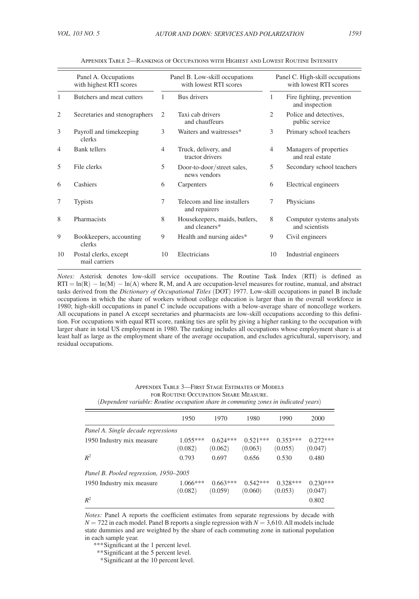<span id="page-40-0"></span>

|    | Panel A. Occupations<br>with highest RTI scores | Panel B. Low-skill occupations<br>with lowest RTI scores |                                                |                | Panel C. High-skill occupations<br>with lowest RTI scores |
|----|-------------------------------------------------|----------------------------------------------------------|------------------------------------------------|----------------|-----------------------------------------------------------|
| 1  | Butchers and meat cutters                       | 1                                                        | <b>Bus drivers</b>                             | 1              | Fire fighting, prevention<br>and inspection               |
| 2  | Secretaries and stenographers                   | 2                                                        | Taxi cab drivers<br>and chauffeurs             | 2              | Police and detectives,<br>public service                  |
| 3  | Payroll and timekeeping<br>clerks               | 3                                                        | Waiters and waitresses*                        | 3              | Primary school teachers                                   |
| 4  | Bank tellers                                    | $\overline{4}$                                           | Truck, delivery, and<br>tractor drivers        | $\overline{4}$ | Managers of properties<br>and real estate                 |
| 5  | File clerks                                     | 5                                                        | Door-to-door/street sales,<br>news vendors     | 5              | Secondary school teachers                                 |
| 6  | Cashiers                                        | 6                                                        | Carpenters                                     | 6              | Electrical engineers                                      |
| 7  | <b>Typists</b>                                  | 7                                                        | Telecom and line installers<br>and repairers   | 7              | Physicians                                                |
| 8  | Pharmacists                                     | 8                                                        | Housekeepers, maids, butlers,<br>and cleaners* | 8              | Computer systems analysts<br>and scientists               |
| 9  | Bookkeepers, accounting<br>clerks               | 9                                                        | Health and nursing aides*                      | 9              | Civil engineers                                           |
| 10 | Postal clerks, except<br>mail carriers          | 10                                                       | Electricians                                   | 10             | Industrial engineers                                      |

Appendix Table 2—Rankings of Occupations with Highest and Lowest Routine Intensity

*Notes:* Asterisk denotes low-skill service occupations. The Routine Task Index (RTI) is defined as  $RTI = ln(R) - ln(M) - ln(A)$  where R, M, and A are occupation-level measures for routine, manual, and abstract tasks derived from the *Dictionary of Occupational Titles* (DOT) 1977. Low-skill occupations in panel B include occupations in which the share of workers without college education is larger than in the overall workforce in 1980; high-skill occupations in panel C include occupations with a below-average share of noncollege workers. All occupations in panel A except secretaries and pharmacists are low-skill occupations according to this definition. For occupations with equal RTI score, ranking ties are split by giving a higher ranking to the occupation with larger share in total US employment in 1980. The ranking includes all occupations whose employment share is at least half as large as the employment share of the average occupation, and excludes agricultural, supervisory, and residual occupations.

| APPENDIX TABLE 3-FIRST STAGE ESTIMATES OF MODELS                                     |
|--------------------------------------------------------------------------------------|
| FOR ROUTINE OCCUPATION SHARE MEASURE.                                                |
| (Dependent variable: Routine occupation share in commuting zones in indicated years) |

|                                       | 1970                  | 1980                  | 1990                  | 2000                           |  |  |  |  |  |  |  |
|---------------------------------------|-----------------------|-----------------------|-----------------------|--------------------------------|--|--|--|--|--|--|--|
| Panel A. Single decade regressions    |                       |                       |                       |                                |  |  |  |  |  |  |  |
| $1.055***$<br>(0.082)                 | $0.624***$<br>(0.062) | $0.521***$<br>(0.063) | $0.353***$<br>(0.055) | $0.272***$<br>(0.047)          |  |  |  |  |  |  |  |
| 0.793                                 | 0.697                 | 0.656                 | 0.530                 | 0.480                          |  |  |  |  |  |  |  |
| Panel B. Pooled regression, 1950–2005 |                       |                       |                       |                                |  |  |  |  |  |  |  |
| $1.066***$<br>(0.082)                 | $0.663***$<br>(0.059) | $0.542***$<br>(0.060) | $0.328***$<br>(0.053) | $0.230***$<br>(0.047)<br>0.802 |  |  |  |  |  |  |  |
|                                       |                       |                       |                       |                                |  |  |  |  |  |  |  |

*Notes:* Panel A reports the coefficient estimates from separate regressions by decade with  $N = 722$  in each model. Panel B reports a single regression with  $N = 3,610$ . All models include state dummies and are weighted by the share of each commuting zone in national population in each sample year.

*\*\*\**Significant at the 1 percent level.

*\*\**Significant at the 5 percent level.

 *\**Significant at the 10 percent level.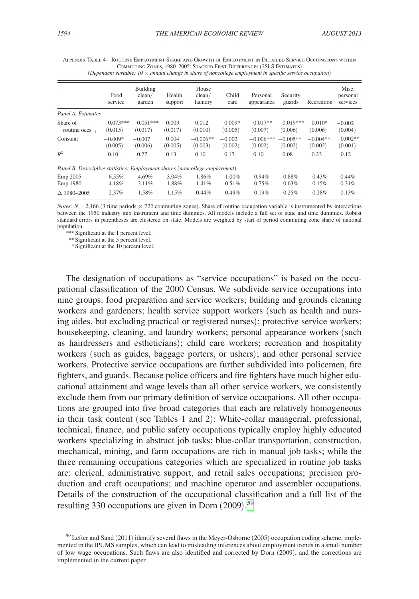<span id="page-41-0"></span>

| APPENDIX TABLE 4—ROUTINE EMPLOYMENT SHARE AND GROWTH OF EMPLOYMENT IN DETAILED SERVICE OCCUPATIONS WITHIN        |
|------------------------------------------------------------------------------------------------------------------|
| COMMUTING ZONES, 1980–2005: STACKED FIRST DIFFERENCES (2SLS ESTIMATES)                                           |
| (Dependent variable: $10 \times$ annual change in share of noncollege employment in specific service occupation) |

|                                                                            | Food<br>service       | Building<br>clean/<br>garden | Health<br>support | House<br>clean/<br>laundry | Child<br>care       | Personal<br>appearance | Security<br>guards    | Recreation            | Misc.<br>personal<br>services |
|----------------------------------------------------------------------------|-----------------------|------------------------------|-------------------|----------------------------|---------------------|------------------------|-----------------------|-----------------------|-------------------------------|
| Panel A. Estimates                                                         |                       |                              |                   |                            |                     |                        |                       |                       |                               |
| Share of<br>routine $occs_{-1}$                                            | $0.073***$<br>(0.015) | $0.051***$<br>(0.017)        | 0.003<br>(0.017)  | 0.012<br>(0.010)           | $0.009*$<br>(0.005) | $0.017**$<br>(0.007)   | $0.019***$<br>(0.006) | $0.010*$<br>(0.006)   | $-0.002$<br>(0.004)           |
| Constant                                                                   | $-0.009*$<br>(0.005)  | $-0.007$<br>(0.006)          | 0.004<br>(0.005)  | $-0.006**$<br>(0.003)      | $-0.002$<br>(0.002) | $-0.006***$<br>(0.002) | $-0.005**$<br>(0.002) | $-0.004**$<br>(0.002) | $0.002**$<br>(0.001)          |
| $R^2$                                                                      | 0.10                  | 0.27                         | 0.13              | 0.10                       | 0.17                | 0.10                   | 0.08                  | 0.23                  | 0.12                          |
| Panel B. Descriptive statistics: Employment shares (noncollege employment) |                       |                              |                   |                            |                     |                        |                       |                       |                               |
| Emp 2005<br>Emp 1980                                                       | $6.55\%$<br>4.18%     | $4.69\%$<br>$3.11\%$         | $3.04\%$<br>1.88% | 1.86%<br>1.41%             | $1.00\%$<br>0.51%   | $0.94\%$<br>0.75%      | 0.88%<br>0.63%        | 0.43%<br>0.15%        | $0.44\%$<br>0.31%             |
| $\Delta$ 1980-2005                                                         | 2.37%                 | 1.58%                        | 1.15%             | 0.44%                      | 0.49%               | 0.19%                  | 0.25%                 | 0.28%                 | 0.13%                         |

*Notes: N* = 2,166 (3 time periods  $\times$  722 commuting zones). Share of routine occupation variable is instrumented by interactions between the 1950 industry mix instrument and time dummies. All models include a full set of state and time dummies. Robust standard errors in parentheses are clustered on state. Models are weighted by start of period commuting zone share of national population.

*\*\*\**Significant at the 1 percent level.

*\*\**Significant at the 5 percent level.

 *\**Significant at the 10 percent level.

The designation of occupations as "service occupations" is based on the occupational classification of the 2000 Census. We subdivide service occupations into nine groups: food preparation and service workers; building and grounds cleaning workers and gardeners; health service support workers (such as health and nursing aides, but excluding practical or registered nurses); protective service workers; housekeeping, cleaning, and laundry workers; personal appearance workers (such as hairdressers and estheticians); child care workers; recreation and hospitality workers (such as guides, baggage porters, or ushers); and other personal service workers. Protective service occupations are further subdivided into policemen, fire fighters, and guards. Because police officers and fire fighters have much higher educational attainment and wage levels than all other service workers, we consistently exclude them from our primary definition of service occupations. All other occupations are grouped into five broad categories that each are relatively homogeneous in their task content (see Tables 1 and 2): White-collar managerial, professional, technical, finance, and public safety occupations typically employ highly educated workers specializing in abstract job tasks; blue-collar transportation, construction, mechanical, mining, and farm occupations are rich in manual job tasks; while the three remaining occupations categories which are specialized in routine job tasks are: clerical, administrative support, and retail sales occupations; precision production and craft occupations; and machine operator and assembler occupations. Details of the construction of the occupational classification and a full list of the resulting 330 occupations are given in Dorn (2009). [59](#page-41-1)

<span id="page-41-1"></span><sup>&</sup>lt;sup>59</sup> Lefter and Sand (2011) identify several flaws in the Meyer-Osborne (2005) occupation coding scheme, implemented in the IPUMS samples, which can lead to misleading inferences about employment trends in a small number of low wage occupations. Such flaws are also identified and corrected by Dorn (2009), and the corrections are implemented in the current paper.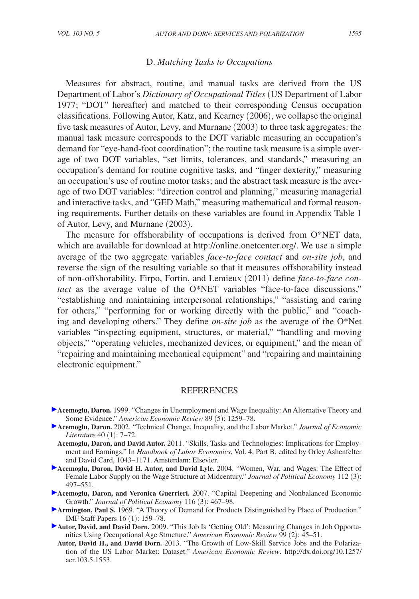# D. *Matching Tasks to Occupations*

Measures for abstract, routine, and manual tasks are derived from the US Department of Labor's *Dictionary of Occupational Titles* (US Department of Labor 1977; "DOT" hereafter) and matched to their corresponding Census occupation classifications. Following Autor, Katz, and Kearney (2006), we collapse the original five task measures of Autor, Levy, and Murnane (2003) to three task aggregates: the manual task measure corresponds to the DOT variable measuring an occupation's demand for "eye-hand-foot coordination"; the routine task measure is a simple average of two DOT variables, "set limits, tolerances, and standards," measuring an occupation's demand for routine cognitive tasks, and "finger dexterity," measuring an occupation's use of routine motor tasks; and the abstract task measure is the average of two DOT variables: "direction control and planning," measuring managerial and interactive tasks, and "GED Math," measuring mathematical and formal reasoning requirements. Further details on these variables are found in Appendix Table 1 of Autor, Levy, and Murnane (2003).

The measure for offshorability of occupations is derived from O\*NET data, which are available for download at <http://online.onetcenter.org>/. We use a simple average of the two aggregate variables *face-to-face contact* and *on-site job*, and reverse the sign of the resulting variable so that it measures offshorability instead of non-offshorability. Firpo, Fortin, and Lemieux (2011) define *face-to-face contact* as the average value of the O\*NET variables "face-to-face discussions," "establishing and maintaining interpersonal relationships," "assisting and caring for others," "performing for or working directly with the public," and "coaching and developing others." They define *on-site job* as the average of the O\*Net variables "inspecting equipment, structures, or material," "handling and moving objects," "operating vehicles, mechanized devices, or equipment," and the mean of "repairing and maintaining mechanical equipment" and "repairing and maintaining electronic equipment."

# **REFERENCES**

- **Acemoglu, Daron.** 1999. "Changes in Unemployment and Wage Inequality: An Alternative Theory and Some Evidence." *American Economic Review* 89 (5): 1259–78.
- **Acemoglu, Daron.** 2002. "Technical Change, Inequality, and the Labor Market." *Journal of Economic Literature* 40 (1): 7–72.
	- **Acemoglu, Daron, and David Autor.** 2011. "Skills, Tasks and Technologies: Implications for Employment and Earnings." In *Handbook of Labor Economics*, Vol. 4, Part B, edited by Orley Ashenfelter and David Card, 1043–1171. Amsterdam: Elsevier.
- **Acemoglu, Daron, David H. Autor, and David Lyle.** 2004. "Women, War, and Wages: The Effect of Female Labor Supply on the Wage Structure at Midcentury." *Journal of Political Economy* 112 (3): 497–551.
- **Acemoglu, Daron, and Veronica Guerrieri.** 2007. "Capital Deepening and Nonbalanced Economic Growth." *Journal of Political Economy* 116 (3): 467–98.
- **Armington, Paul S.** 1969. "A Theory of Demand for Products Distinguished by Place of Production." IMF Staff Papers 16 (1): 159–78.
- **Autor, David, and David Dorn.** 2009. "This Job Is 'Getting Old': Measuring Changes in Job Opportunities Using Occupational Age Structure." *American Economic Review* 99 (2): 45–51.
- **Autor, David H., and David Dorn.** 2013. "The Growth of Low-Skill Service Jobs and the Polarization of the US Labor Market: Dataset." *American Economic Review*. [http://dx.doi.org/10.1257/](http://dx.doi.org/10.1257/aer.103.5.1553) [aer.103.5.1553](http://dx.doi.org/10.1257/aer.103.5.1553).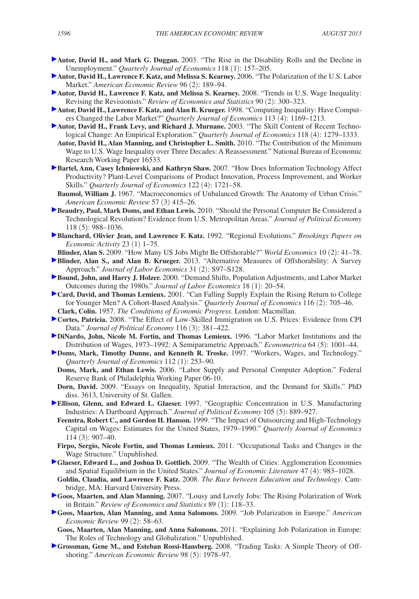- **Autor, David H., and Mark G. Duggan.** 2003. "The Rise in the Disability Rolls and the Decline in Unemployment." *Quarterly Journal of Economics* 118 (1): 157–205.
- **Autor, David H., Lawrence F. Katz, and Melissa S. Kearney.** 2006. "The Polarization of the U.S. Labor Market." *American Economic Review* 96 (2): 189–94.
- **Autor, David H., Lawrence F. Katz, and Melissa S. Kearney.** 2008. "Trends in U.S. Wage Inequality: Revising the Revisionists." *Review of Economics and Statistics* 90 (2): 300–323.
- **Autor, David H., Lawrence F. Katz, and Alan B. Krueger.** 1998. "Computing Inequality: Have Computers Changed the Labor Market?" *Quarterly Journal of Economics* 113 (4): 1169–1213.
- **Autor, David H., Frank Levy, and Richard J. Murnane.** 2003. "The Skill Content of Recent Technological Change: An Empirical Exploration." *Quarterly Journal of Economics* 118 (4): 1279–1333.
- **Autor, David H., Alan Manning, and Christopher L. Smith.** 2010. "The Contribution of the Minimum Wage to U.S. Wage Inequality over Three Decades: A Reassessment." National Bureau of Economic Research Working Paper 16533.
- **Bartel, Ann, Casey Ichniowski, and Kathryn Shaw.** 2007. "How Does Information Technology Affect Productivity? Plant-Level Comparisons of Product Innovation, Process Improvement, and Worker Skills." *Quarterly Journal of Economics* 122 (4): 1721–58.
- **Baumol, William J.** 1967. "Macroeconomics of Unbalanced Growth: The Anatomy of Urban Crisis." *American Economic Review* 57 (3) 415–26.
- **Beaudry, Paul, Mark Doms, and Ethan Lewis.** 2010. "Should the Personal Computer Be Considered a Technological Revolution? Evidence from U.S. Metropolitan Areas." *Journal of Political Economy* 118 (5): 988–1036.
- **Blanchard, Olivier Jean, and Lawrence F. Katz.** 1992. "Regional Evolutions." *Brookings Papers on Economic Activity* 23 (1) 1–75.
- **Blinder, Alan S.** 2009. "How Many US Jobs Might Be Offshorable?" *World Economics* 10 (2): 41–78.
- **Blinder, Alan S., and Alan B. Krueger.** 2013. "Alternative Measures of Offshorability: A Survey Approach." *Journal of Labor Economics* 31 (2): S97–S128.
- **Bound, John, and Harry J. Holzer.** 2000. "Demand Shifts, Population Adjustments, and Labor Market Outcomes during the 1980s." *Journal of Labor Economics* 18 (1): 20–54.
- **Card, David, and Thomas Lemieux.** 2001. "Can Falling Supply Explain the Rising Return to College for Younger Men? A Cohort-Based Analysis." *Quarterly Journal of Economics* 116 (2): 705–46. **Clark, Colin.** 1957. *The Conditions of Economic Progress*. London: Macmillan.
- **Cortes, Patricia.** 2008. "The Effect of Low-Skilled Immigration on U.S. Prices: Evidence from CPI Data." *Journal of Political Economy* 116 (3): 381–422.
- **DiNardo, John, Nicole M. Fortin, and Thomas Lemieux.** 1996. "Labor Market Institutions and the Distribution of Wages, 1973–1992: A Semiparametric Approach." *Econometrica* 64 (5): 1001–44.
- **Doms, Mark, Timothy Dunne, and Kenneth R. Troske.** 1997. "Workers, Wages, and Technology." *Quarterly Journal of Economics* 112 (1): 253–90.
	- **Doms, Mark, and Ethan Lewis.** 2006. "Labor Supply and Personal Computer Adoption." Federal Reserve Bank of Philadelphia Working Paper 06-10.
	- **Dorn, David.** 2009. "Essays on Inequality, Spatial Interaction, and the Demand for Skills." PhD diss. 3613, University of St. Gallen.
- **Ellison, Glenn, and Edward L. Glaeser.** 1997. "Geographic Concentration in U.S. Manufacturing Industries: A Dartboard Approach." *Journal of Political Economy* 105 (5): 889–927.
	- **Feenstra, Robert C., and Gordon H. Hanson.** 1999. "The Impact of Outsourcing and High-Technology Capital on Wages: Estimates for the United States, 1979–1990." *Quarterly Journal of Economics* 114 (3): 907–40.
- **Firpo, Sergio, Nicole Fortin, and Thomas Lemieux.** 2011. "Occupational Tasks and Changes in the Wage Structure." Unpublished.
- **Glaeser, Edward L., and Joshua D. Gottlieb.** 2009. "The Wealth of Cities: Agglomeration Economies and Spatial Equilibrium in the United States." *Journal of Economic Literature* 47 (4): 983–1028.

**Goldin, Claudia, and Lawrence F. Katz.** 2008. *The Race between Education and Technology*. Cambridge, MA: Harvard University Press.

- **Goos, Maarten, and Alan Manning.** 2007. "Lousy and Lovely Jobs: The Rising Polarization of Work in Britain." *Review of Economics and Statistics* 89 (1): 118–33.
- **Goos, Maarten, Alan Manning, and Anna Salomons.** 2009. "Job Polarization in Europe." *American Economic Review* 99 (2): 58–63.

**Goos, Maarten, Alan Manning, and Anna Salomons.** 2011. "Explaining Job Polarization in Europe: The Roles of Technology and Globalization." Unpublished.

**Grossman, Gene M., and Esteban Rossi-Hansberg.** 2008. "Trading Tasks: A Simple Theory of Offshoring." *American Economic Review* 98 (5): 1978–97.